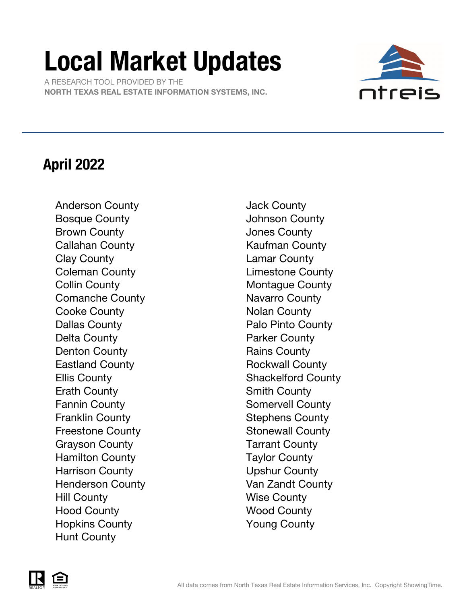# Local Market Updates

 A RESEARCH TOOL PROVIDED BY THE NORTH TEXAS REAL ESTATE INFORMATION SYSTEMS, INC.



### April 2022

Anderson County **Galactic County** Jack County Bosque County **County County** Johnson County Brown County **County County County Jones County** Callahan County **Kaufman County** Clay County Lamar County Coleman County **Limestone County** Collin County **Montague County** Comanche County **Navarro** County Cooke County **Notal** Nolan County Dallas County **Palo Pinto County** Delta County **Parker County** Denton County **Rains County** Rains County Eastland County **Rockwall County** Ellis County **Shackelford County** Erath County **Smith County** Smith County Fannin County **Somervell County** Franklin County **Stephens County** Freestone County **Stonewall County** Grayson County **Tarrant County** Hamilton County **Taylor County** Harrison County **Upshur County** Henderson County **Van Zandt County** Hill County Wise County Hood County **Wood County** Hopkins County Young County Hunt County

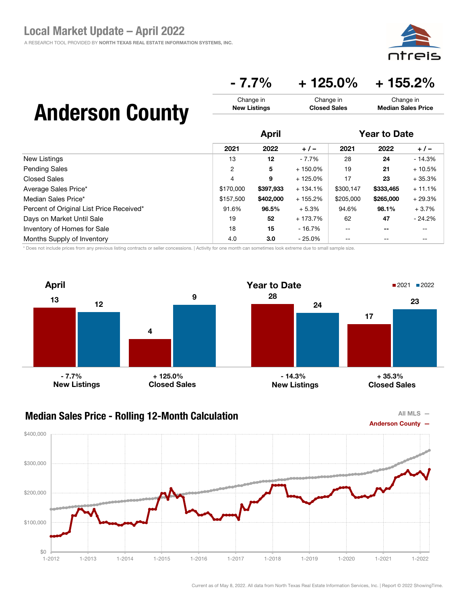### $-7.7\%$   $+125.0\%$   $+155.2\%$

Change in Closed Sales

## Anderson County

|                                          | <b>April</b> |           |            | <b>Year to Date</b> |           |          |
|------------------------------------------|--------------|-----------|------------|---------------------|-----------|----------|
|                                          | 2021         | 2022      | $+/-$      | 2021                | 2022      | $+/-$    |
| New Listings                             | 13           | 12        | $-7.7%$    | 28                  | 24        | $-14.3%$ |
| <b>Pending Sales</b>                     | 2            | 5         | $+150.0\%$ | 19                  | 21        | $+10.5%$ |
| Closed Sales                             | 4            | 9         | $+125.0%$  | 17                  | 23        | $+35.3%$ |
| Average Sales Price*                     | \$170,000    | \$397,933 | $+134.1%$  | \$300,147           | \$333,465 | $+11.1%$ |
| Median Sales Price*                      | \$157,500    | \$402,000 | $+155.2%$  | \$205,000           | \$265,000 | $+29.3%$ |
| Percent of Original List Price Received* | 91.6%        | 96.5%     | $+5.3%$    | 94.6%               | 98.1%     | $+3.7%$  |
| Days on Market Until Sale                | 19           | 52        | + 173.7%   | 62                  | 47        | $-24.2%$ |
| Inventory of Homes for Sale              | 18           | 15        | - 16.7%    | $- -$               | $- -$     | --       |
| Months Supply of Inventory               | 4.0          | 3.0       | $-25.0\%$  | --                  | $- -$     | --       |

Change in New Listings

\* Does not include prices from any previous listing contracts or seller concessions. | Activity for one month can sometimes look extreme due to small sample size.





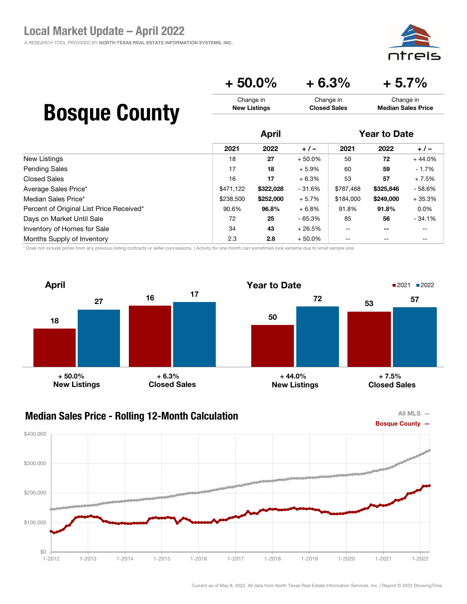ajc

#### $+ 50.0\% + 6.3\% + 5.7\%$ Change in New Listings Change in Closed Sales Change in Median Sales Price

## Bosque County

|                                          |           | <b>April</b> |           |           | <b>Year to Date</b>      |          |  |
|------------------------------------------|-----------|--------------|-----------|-----------|--------------------------|----------|--|
|                                          | 2021      | 2022         | $+/-$     | 2021      | 2022                     | $+/-$    |  |
| New Listings                             | 18        | 27           | $+50.0\%$ | 50        | 72                       | $+44.0%$ |  |
| <b>Pending Sales</b>                     | 17        | 18           | $+5.9%$   | 60        | 59                       | $-1.7%$  |  |
| <b>Closed Sales</b>                      | 16        | 17           | $+6.3%$   | 53        | 57                       | $+7.5%$  |  |
| Average Sales Price*                     | \$471,122 | \$322,028    | - 31.6%   | \$787,468 | \$325,846                | $-58.6%$ |  |
| Median Sales Price*                      | \$238,500 | \$252,000    | $+5.7%$   | \$184,000 | \$249,000                | $+35.3%$ |  |
| Percent of Original List Price Received* | 90.6%     | 96.8%        | $+6.8%$   | 91.8%     | 91.8%                    | $0.0\%$  |  |
| Days on Market Until Sale                | 72        | 25           | - 65.3%   | 85        | 56                       | $-34.1%$ |  |
| Inventory of Homes for Sale              | 34        | 43           | $+26.5%$  | $- -$     | $\overline{\phantom{m}}$ | --       |  |
| Months Supply of Inventory               | 2.3       | 2.8          | $+50.0\%$ | $- -$     | $- -$                    | --       |  |

\* Does not include prices from any previous listing contracts or seller concessions. | Activity for one month can sometimes look extreme due to small sample size.



### Median Sales Price - Rolling 12-Month Calculation



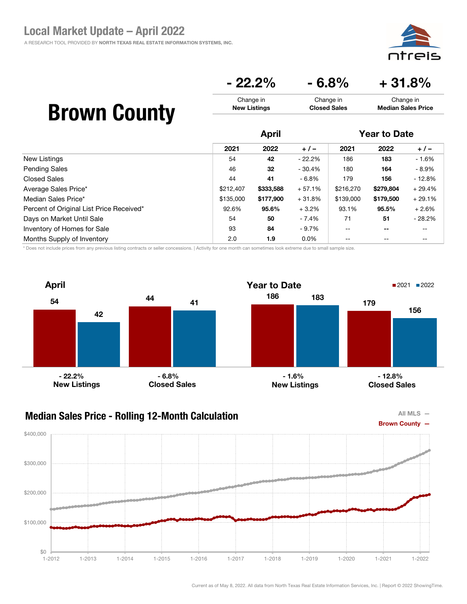eis חר

### $-22.2\% - 6.8\% + 31.8\%$

| <b>Brown County</b> | Change in           | Change in           | Change in                 |
|---------------------|---------------------|---------------------|---------------------------|
|                     | <b>New Listings</b> | <b>Closed Sales</b> | <b>Median Sales Price</b> |
|                     |                     |                     |                           |

|                                          |           | <b>April</b> |          |                          | <b>Year to Date</b> |          |  |
|------------------------------------------|-----------|--------------|----------|--------------------------|---------------------|----------|--|
|                                          | 2021      | 2022         | $+/-$    | 2021                     | 2022                | $+/-$    |  |
| New Listings                             | 54        | 42           | $-22.2%$ | 186                      | 183                 | $-1.6%$  |  |
| <b>Pending Sales</b>                     | 46        | 32           | $-30.4%$ | 180                      | 164                 | - 8.9%   |  |
| Closed Sales                             | 44        | 41           | $-6.8%$  | 179                      | 156                 | $-12.8%$ |  |
| Average Sales Price*                     | \$212,407 | \$333,588    | $+57.1%$ | \$216,270                | \$279,804           | $+29.4%$ |  |
| Median Sales Price*                      | \$135,000 | \$177,900    | $+31.8%$ | \$139,000                | \$179,500           | $+29.1%$ |  |
| Percent of Original List Price Received* | 92.6%     | 95.6%        | $+3.2%$  | 93.1%                    | 95.5%               | $+2.6%$  |  |
| Days on Market Until Sale                | 54        | 50           | - 7.4%   | 71                       | 51                  | $-28.2%$ |  |
| Inventory of Homes for Sale              | 93        | 84           | - 9.7%   | $\overline{\phantom{m}}$ | $- -$               | $- -$    |  |
| Months Supply of Inventory               | 2.0       | 1.9          | $0.0\%$  | $\qquad \qquad -$        | $\qquad \qquad -$   | --       |  |

\* Does not include prices from any previous listing contracts or seller concessions. | Activity for one month can sometimes look extreme due to small sample size.





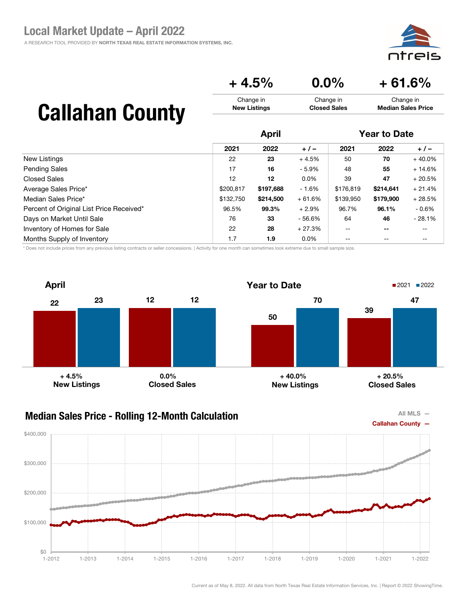#### $+ 4.5\%$  0.0% + 61.6% Change in New Listings Change in Closed Sales Change in Median Sales Price

# Callahan County

|                                          | <b>April</b> |           |          | <b>Year to Date</b> |           |          |
|------------------------------------------|--------------|-----------|----------|---------------------|-----------|----------|
|                                          | 2021         | 2022      | $+/-$    | 2021                | 2022      | $+/-$    |
| New Listings                             | 22           | 23        | $+4.5%$  | 50                  | 70        | $+40.0%$ |
| <b>Pending Sales</b>                     | 17           | 16        | $-5.9%$  | 48                  | 55        | $+14.6%$ |
| <b>Closed Sales</b>                      | 12           | 12        | $0.0\%$  | 39                  | 47        | $+20.5%$ |
| Average Sales Price*                     | \$200,817    | \$197,688 | - 1.6%   | \$176,819           | \$214.641 | $+21.4%$ |
| Median Sales Price*                      | \$132,750    | \$214,500 | $+61.6%$ | \$139,950           | \$179,900 | $+28.5%$ |
| Percent of Original List Price Received* | 96.5%        | 99.3%     | $+2.9%$  | 96.7%               | 96.1%     | $-0.6\%$ |
| Days on Market Until Sale                | 76           | 33        | - 56.6%  | 64                  | 46        | $-28.1%$ |
| Inventory of Homes for Sale              | 22           | 28        | $+27.3%$ | --                  | $- -$     | --       |
| Months Supply of Inventory               | 1.7          | 1.9       | $0.0\%$  | --                  | --        | --       |

\* Does not include prices from any previous listing contracts or seller concessions. | Activity for one month can sometimes look extreme due to small sample size.





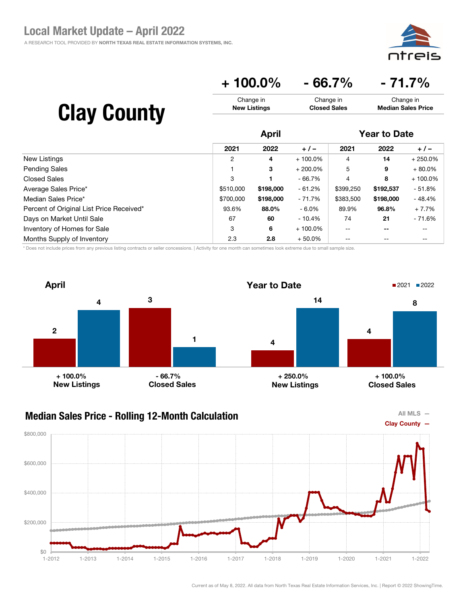

### + 100.0% - 66.7% - 71.7%

| <b>Clay County</b> | Change in           | Change in           | Change in                 |
|--------------------|---------------------|---------------------|---------------------------|
|                    | <b>New Listings</b> | <b>Closed Sales</b> | <b>Median Sales Price</b> |
|                    |                     |                     |                           |

|                                          | <b>April</b>   |           |            | <b>Year to Date</b> |           |            |
|------------------------------------------|----------------|-----------|------------|---------------------|-----------|------------|
|                                          | 2021           | 2022      | $+/-$      | 2021                | 2022      | $+/-$      |
| New Listings                             | $\overline{2}$ | 4         | $+100.0\%$ | 4                   | 14        | $+250.0%$  |
| <b>Pending Sales</b>                     |                | З         | $+200.0\%$ | 5                   | 9         | $+80.0\%$  |
| <b>Closed Sales</b>                      | 3              |           | $-66.7%$   | 4                   | 8         | $+100.0\%$ |
| Average Sales Price*                     | \$510,000      | \$198,000 | $-61.2%$   | \$399,250           | \$192,537 | - 51.8%    |
| Median Sales Price*                      | \$700,000      | \$198,000 | $-71.7%$   | \$383,500           | \$198,000 | $-48.4%$   |
| Percent of Original List Price Received* | 93.6%          | 88.0%     | $-6.0\%$   | 89.9%               | 96.8%     | $+7.7%$    |
| Days on Market Until Sale                | 67             | 60        | $-10.4%$   | 74                  | 21        | - 71.6%    |
| Inventory of Homes for Sale              | 3              | 6         | $+100.0\%$ | --                  | $- -$     | $- -$      |
| Months Supply of Inventory               | 2.3            | 2.8       | $+50.0\%$  |                     |           | --         |

\* Does not include prices from any previous listing contracts or seller concessions. | Activity for one month can sometimes look extreme due to small sample size.



#### Median Sales Price - Rolling 12-Month Calculation



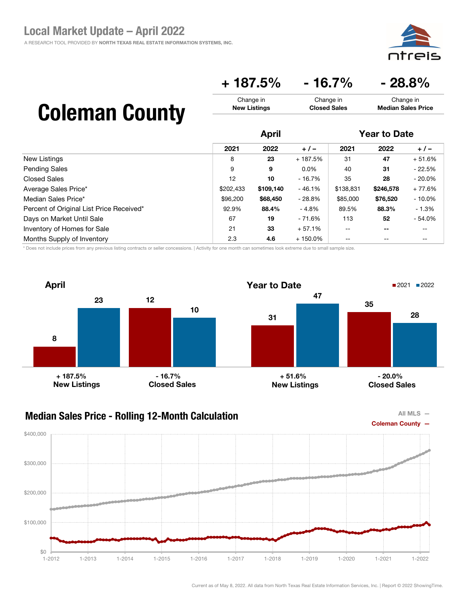

### $+ 187.5\% - 16.7\% - 28.8\%$

Change in Closed Sales

## Coleman County

|                                          |           | April     |            |           | <b>Year to Date</b>      |           |  |
|------------------------------------------|-----------|-----------|------------|-----------|--------------------------|-----------|--|
|                                          | 2021      | 2022      | $+/-$      | 2021      | 2022                     | $+/-$     |  |
| New Listings                             | 8         | 23        | + 187.5%   | 31        | 47                       | $+51.6%$  |  |
| <b>Pending Sales</b>                     | 9         | 9         | $0.0\%$    | 40        | 31                       | $-22.5%$  |  |
| <b>Closed Sales</b>                      | 12        | 10        | $-16.7%$   | 35        | 28                       | $-20.0\%$ |  |
| Average Sales Price*                     | \$202,433 | \$109,140 | $-46.1%$   | \$138,831 | \$246,578                | $+77.6%$  |  |
| Median Sales Price*                      | \$96,200  | \$68,450  | $-28.8%$   | \$85,000  | \$76,520                 | $-10.0\%$ |  |
| Percent of Original List Price Received* | 92.9%     | 88.4%     | $-4.8%$    | 89.5%     | 88.3%                    | $-1.3%$   |  |
| Days on Market Until Sale                | 67        | 19        | - 71.6%    | 113       | 52                       | $-54.0%$  |  |
| Inventory of Homes for Sale              | 21        | 33        | $+57.1%$   | $- -$     | $\overline{\phantom{m}}$ | --        |  |
| Months Supply of Inventory               | 2.3       | 4.6       | $+150.0\%$ | $- -$     | $- -$                    | --        |  |

Change in New Listings

\* Does not include prices from any previous listing contracts or seller concessions. | Activity for one month can sometimes look extreme due to small sample size.





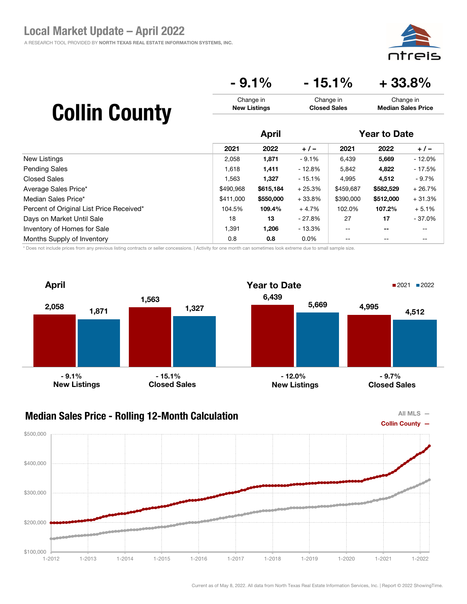

## $-9.1\%$   $-15.1\%$   $+33.8\%$

Change in Closed Sales

|  | <b>Collin County</b> |
|--|----------------------|
|--|----------------------|

|                                          | <b>April</b> |           |          | <b>Year to Date</b>      |           |          |
|------------------------------------------|--------------|-----------|----------|--------------------------|-----------|----------|
|                                          | 2021         | 2022      | $+/-$    | 2021                     | 2022      | $+/-$    |
| New Listings                             | 2,058        | 1,871     | $-9.1%$  | 6,439                    | 5,669     | $-12.0%$ |
| <b>Pending Sales</b>                     | 1,618        | 1,411     | - 12.8%  | 5,842                    | 4,822     | - 17.5%  |
| <b>Closed Sales</b>                      | 1,563        | 1,327     | - 15.1%  | 4,995                    | 4,512     | $-9.7%$  |
| Average Sales Price*                     | \$490,968    | \$615,184 | $+25.3%$ | \$459,687                | \$582,529 | $+26.7%$ |
| Median Sales Price*                      | \$411,000    | \$550,000 | $+33.8%$ | \$390,000                | \$512,000 | $+31.3%$ |
| Percent of Original List Price Received* | 104.5%       | 109.4%    | $+4.7%$  | 102.0%                   | 107.2%    | $+5.1%$  |
| Days on Market Until Sale                | 18           | 13        | $-27.8%$ | 27                       | 17        | $-37.0%$ |
| Inventory of Homes for Sale              | 1,391        | 1,206     | - 13.3%  | $\overline{\phantom{m}}$ | --        | --       |
| Months Supply of Inventory               | 0.8          | 0.8       | $0.0\%$  | $\qquad \qquad -$        | $- -$     | --       |

Change in New Listings

\* Does not include prices from any previous listing contracts or seller concessions. | Activity for one month can sometimes look extreme due to small sample size.





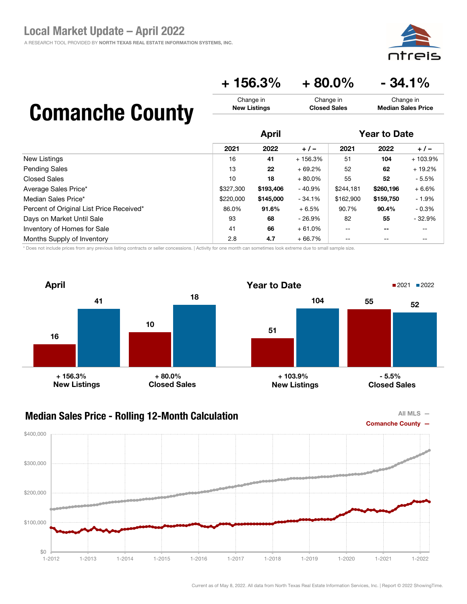

## $+ 156.3\% + 80.0\% - 34.1\%$

Change in Closed Sales

## Comanche County

|                                          | <b>April</b> |           |           | <b>Year to Date</b>      |           |           |
|------------------------------------------|--------------|-----------|-----------|--------------------------|-----------|-----------|
|                                          | 2021         | 2022      | $+/-$     | 2021                     | 2022      | $+/-$     |
| New Listings                             | 16           | 41        | + 156.3%  | 51                       | 104       | $+103.9%$ |
| <b>Pending Sales</b>                     | 13           | 22        | $+69.2%$  | 52                       | 62        | $+19.2%$  |
| Closed Sales                             | 10           | 18        | $+80.0\%$ | 55                       | 52        | $-5.5\%$  |
| Average Sales Price*                     | \$327,300    | \$193,406 | $-40.9%$  | \$244,181                | \$260,196 | $+6.6%$   |
| Median Sales Price*                      | \$220,000    | \$145,000 | $-34.1%$  | \$162,900                | \$159.750 | $-1.9%$   |
| Percent of Original List Price Received* | 86.0%        | 91.6%     | $+6.5%$   | 90.7%                    | 90.4%     | $-0.3%$   |
| Days on Market Until Sale                | 93           | 68        | - 26.9%   | 82                       | 55        | $-32.9%$  |
| Inventory of Homes for Sale              | 41           | 66        | $+61.0%$  | $\overline{\phantom{m}}$ | --        | --        |
| Months Supply of Inventory               | 2.8          | 4.7       | $+66.7%$  | $- -$                    | --        | --        |

Change in New Listings

\* Does not include prices from any previous listing contracts or seller concessions. | Activity for one month can sometimes look extreme due to small sample size.



### Median Sales Price - Rolling 12-Month Calculation





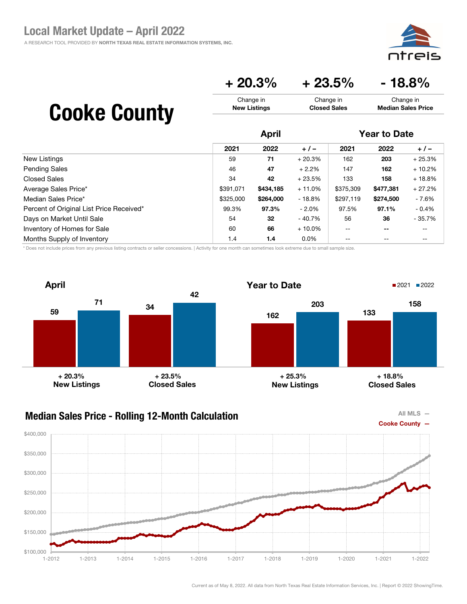eis

Change in Median Sales Price

## $+20.3\%$   $+23.5\%$   $-18.8\%$

Change in Closed Sales

|                                          | <b>April</b> |           |           | <b>Year to Date</b> |           |          |
|------------------------------------------|--------------|-----------|-----------|---------------------|-----------|----------|
|                                          | 2021         | 2022      | $+/-$     | 2021                | 2022      | $+/-$    |
| New Listings                             | 59           | 71        | $+20.3%$  | 162                 | 203       | $+25.3%$ |
| <b>Pending Sales</b>                     | 46           | 47        | $+2.2%$   | 147                 | 162       | $+10.2%$ |
| <b>Closed Sales</b>                      | 34           | 42        | $+23.5%$  | 133                 | 158       | $+18.8%$ |
| Average Sales Price*                     | \$391.071    | \$434,185 | $+11.0%$  | \$375,309           | \$477,381 | $+27.2%$ |
| Median Sales Price*                      | \$325,000    | \$264,000 | $-18.8%$  | \$297,119           | \$274,500 | - 7.6%   |
| Percent of Original List Price Received* | 99.3%        | 97.3%     | $-2.0\%$  | 97.5%               | 97.1%     | $-0.4%$  |
| Days on Market Until Sale                | 54           | 32        | $-40.7%$  | 56                  | 36        | $-35.7%$ |
| Inventory of Homes for Sale              | 60           | 66        | $+10.0\%$ | --                  | --        | --       |
| Months Supply of Inventory               | 1.4          | 1.4       | $0.0\%$   | --                  | --        | --       |

Change in New Listings

\* Does not include prices from any previous listing contracts or seller concessions. | Activity for one month can sometimes look extreme due to small sample size.



### Median Sales Price - Rolling 12-Month Calculation



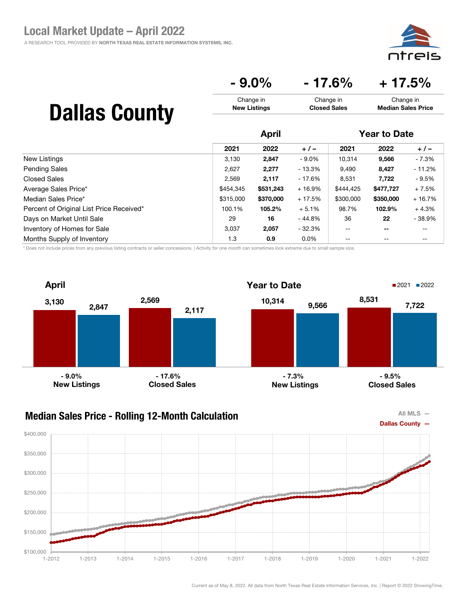⊇i⊂

Change in Median Sales Price

### $-9.0\%$   $-17.6\%$   $+17.5\%$

Change in Closed Sales

## Dallas County

|                                          | April     |           |          | <b>Year to Date</b>      |                          |          |
|------------------------------------------|-----------|-----------|----------|--------------------------|--------------------------|----------|
|                                          | 2021      | 2022      | $+/-$    | 2021                     | 2022                     | $+/-$    |
| <b>New Listings</b>                      | 3,130     | 2,847     | - 9.0%   | 10.314                   | 9,566                    | - 7.3%   |
| <b>Pending Sales</b>                     | 2,627     | 2,277     | - 13.3%  | 9,490                    | 8,427                    | $-11.2%$ |
| Closed Sales                             | 2,569     | 2,117     | $-17.6%$ | 8,531                    | 7,722                    | $-9.5%$  |
| Average Sales Price*                     | \$454,345 | \$531,243 | $+16.9%$ | \$444.425                | \$477,727                | $+7.5%$  |
| Median Sales Price*                      | \$315,000 | \$370,000 | $+17.5%$ | \$300,000                | \$350,000                | $+16.7%$ |
| Percent of Original List Price Received* | 100.1%    | 105.2%    | $+5.1%$  | 98.7%                    | 102.9%                   | $+4.3%$  |
| Days on Market Until Sale                | 29        | 16        | $-44.8%$ | 36                       | 22                       | $-38.9%$ |
| Inventory of Homes for Sale              | 3.037     | 2,057     | - 32.3%  | $\overline{\phantom{m}}$ | $\overline{\phantom{m}}$ | $- -$    |
| Months Supply of Inventory               | 1.3       | 0.9       | $0.0\%$  | $-$                      | $\qquad \qquad -$        | --       |

Change in New Listings

\* Does not include prices from any previous listing contracts or seller concessions. | Activity for one month can sometimes look extreme due to small sample size.





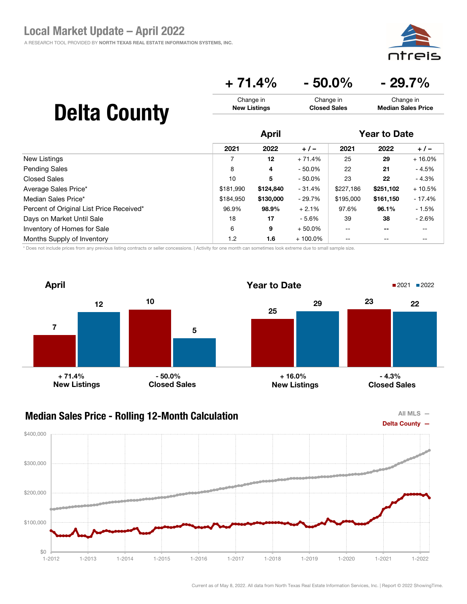

### $+ 71.4\% - 50.0\% - 29.7\%$

Change in Closed Sales

## Delta County

|                                          | <b>April</b> |           |            | <b>Year to Date</b> |                          |          |
|------------------------------------------|--------------|-----------|------------|---------------------|--------------------------|----------|
|                                          | 2021         | 2022      | $+/-$      | 2021                | 2022                     | $+/-$    |
| New Listings                             |              | 12        | $+71.4%$   | 25                  | 29                       | $+16.0%$ |
| <b>Pending Sales</b>                     | 8            | 4         | $-50.0\%$  | 22                  | 21                       | $-4.5%$  |
| <b>Closed Sales</b>                      | 10           | 5         | $-50.0\%$  | 23                  | 22                       | $-4.3%$  |
| Average Sales Price*                     | \$181,990    | \$124,840 | $-31.4%$   | \$227,186           | \$251,102                | $+10.5%$ |
| Median Sales Price*                      | \$184.950    | \$130,000 | - 29.7%    | \$195,000           | \$161,150                | $-17.4%$ |
| Percent of Original List Price Received* | 96.9%        | 98.9%     | $+2.1%$    | 97.6%               | 96.1%                    | $-1.5%$  |
| Days on Market Until Sale                | 18           | 17        | - 5.6%     | 39                  | 38                       | $-2.6%$  |
| Inventory of Homes for Sale              | 6            | 9         | $+50.0\%$  | $- -$               | $\overline{\phantom{m}}$ | --       |
| Months Supply of Inventory               | 1.2          | 1.6       | $+100.0\%$ | --                  | $- -$                    | --       |

Change in New Listings

\* Does not include prices from any previous listing contracts or seller concessions. | Activity for one month can sometimes look extreme due to small sample size.





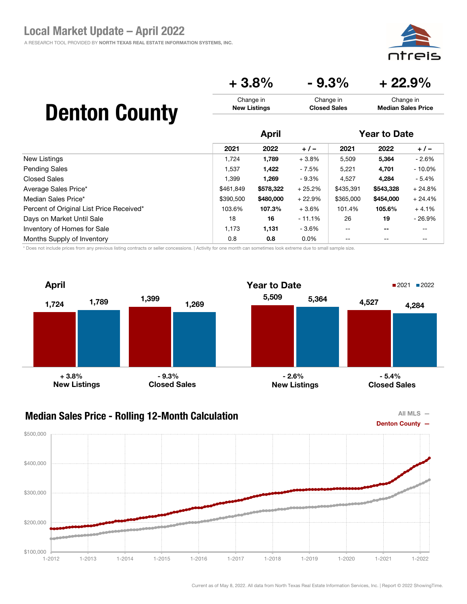ajc

Change in Median Sales Price

## $+3.8\%$   $-9.3\%$   $+22.9\%$

Change in Closed Sales

# Denton County

|                                          | <b>April</b> |           |          | <b>Year to Date</b>                   |                          |           |
|------------------------------------------|--------------|-----------|----------|---------------------------------------|--------------------------|-----------|
|                                          | 2021         | 2022      | $+/-$    | 2021                                  | 2022                     | $+/-$     |
| New Listings                             | 1,724        | 1,789     | $+3.8%$  | 5,509                                 | 5,364                    | $-2.6%$   |
| <b>Pending Sales</b>                     | 1,537        | 1,422     | - 7.5%   | 5,221                                 | 4,701                    | $-10.0\%$ |
| <b>Closed Sales</b>                      | 1.399        | 1.269     | $-9.3%$  | 4,527                                 | 4,284                    | $-5.4%$   |
| Average Sales Price*                     | \$461,849    | \$578,322 | $+25.2%$ | \$435,391                             | \$543,328                | $+24.8%$  |
| Median Sales Price*                      | \$390,500    | \$480,000 | $+22.9%$ | \$365,000                             | \$454,000                | $+24.4%$  |
| Percent of Original List Price Received* | 103.6%       | 107.3%    | $+3.6%$  | 101.4%                                | 105.6%                   | $+4.1%$   |
| Days on Market Until Sale                | 18           | 16        | $-11.1%$ | 26                                    | 19                       | $-26.9%$  |
| Inventory of Homes for Sale              | 1,173        | 1,131     | - 3.6%   | $\hspace{0.05cm}$ – $\hspace{0.05cm}$ | $\overline{\phantom{m}}$ | --        |
| Months Supply of Inventory               | 0.8          | 0.8       | $0.0\%$  | $- -$                                 | $- -$                    | --        |

Change in New Listings

\* Does not include prices from any previous listing contracts or seller concessions. | Activity for one month can sometimes look extreme due to small sample size.





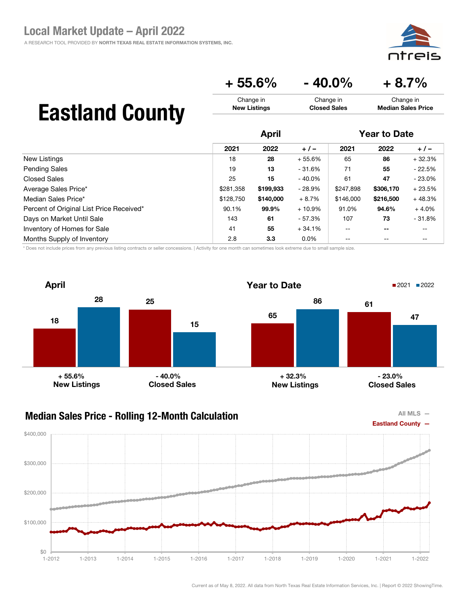ajc

Change in Median Sales Price

## $+ 55.6\% - 40.0\% + 8.7\%$

Change in Closed Sales

## Eastland County

|                                          | <b>April</b> |           |          | <b>Year to Date</b> |           |           |
|------------------------------------------|--------------|-----------|----------|---------------------|-----------|-----------|
|                                          | 2021         | 2022      | $+/-$    | 2021                | 2022      | $+/-$     |
| New Listings                             | 18           | 28        | $+55.6%$ | 65                  | 86        | $+32.3%$  |
| <b>Pending Sales</b>                     | 19           | 13        | $-31.6%$ | 71                  | 55        | $-22.5%$  |
| Closed Sales                             | 25           | 15        | - 40.0%  | 61                  | 47        | $-23.0\%$ |
| Average Sales Price*                     | \$281,358    | \$199,933 | $-28.9%$ | \$247,898           | \$306,170 | $+23.5%$  |
| Median Sales Price*                      | \$128,750    | \$140,000 | $+8.7%$  | \$146,000           | \$216,500 | $+48.3%$  |
| Percent of Original List Price Received* | 90.1%        | 99.9%     | $+10.9%$ | 91.0%               | 94.6%     | $+4.0%$   |
| Days on Market Until Sale                | 143          | 61        | - 57.3%  | 107                 | 73        | $-31.8%$  |
| Inventory of Homes for Sale              | 41           | 55        | $+34.1%$ | $-$                 | --        | --        |
| Months Supply of Inventory               | 2.8          | 3.3       | $0.0\%$  | --                  | --        | --        |

Change in New Listings

\* Does not include prices from any previous listing contracts or seller concessions. | Activity for one month can sometimes look extreme due to small sample size.





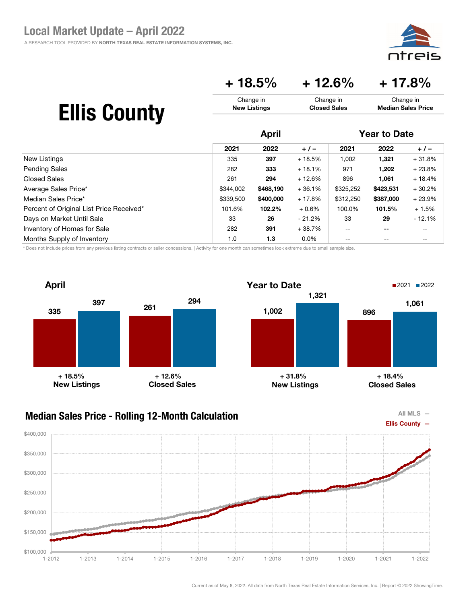

### + 18.5% + 12.6% + 17.8%

| <b>Ellis County</b> | Change in           | Change in           | Change in                 |
|---------------------|---------------------|---------------------|---------------------------|
|                     | <b>New Listings</b> | <b>Closed Sales</b> | <b>Median Sales Price</b> |
|                     |                     |                     |                           |

|                                          | <b>April</b> |           |          | <b>Year to Date</b> |           |          |
|------------------------------------------|--------------|-----------|----------|---------------------|-----------|----------|
|                                          | 2021         | 2022      | $+/-$    | 2021                | 2022      | $+/-$    |
| New Listings                             | 335          | 397       | $+18.5%$ | 1,002               | 1,321     | $+31.8%$ |
| <b>Pending Sales</b>                     | 282          | 333       | $+18.1%$ | 971                 | 1,202     | $+23.8%$ |
| Closed Sales                             | 261          | 294       | $+12.6%$ | 896                 | 1,061     | $+18.4%$ |
| Average Sales Price*                     | \$344,002    | \$468,190 | $+36.1%$ | \$325,252           | \$423,531 | $+30.2%$ |
| Median Sales Price*                      | \$339,500    | \$400,000 | $+17.8%$ | \$312,250           | \$387,000 | $+23.9%$ |
| Percent of Original List Price Received* | 101.6%       | 102.2%    | $+0.6%$  | 100.0%              | 101.5%    | $+1.5%$  |
| Days on Market Until Sale                | 33           | 26        | $-21.2%$ | 33                  | 29        | $-12.1%$ |
| Inventory of Homes for Sale              | 282          | 391       | $+38.7%$ | $- -$               | --        | --       |
| Months Supply of Inventory               | 1.0          | 1.3       | $0.0\%$  | --                  | --        | --       |

\* Does not include prices from any previous listing contracts or seller concessions. | Activity for one month can sometimes look extreme due to small sample size.



### Median Sales Price - Rolling 12-Month Calculation



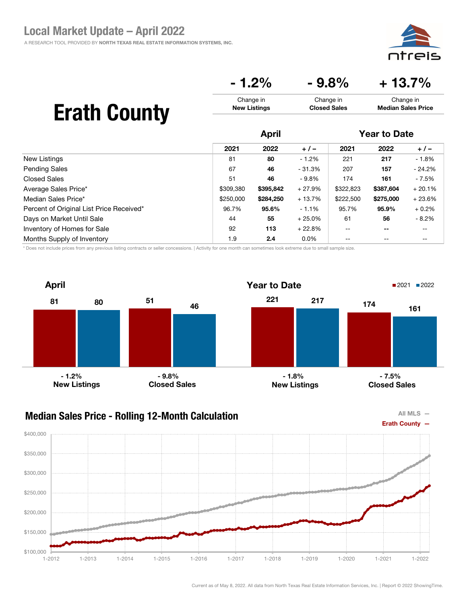⊇i⊂ דר

Change in Median Sales Price

### $-1.2\%$   $-9.8\%$   $+13.7\%$

Change in Closed Sales

## Erath County

|                                          | <b>April</b> |           |          | <b>Year to Date</b> |           |          |
|------------------------------------------|--------------|-----------|----------|---------------------|-----------|----------|
|                                          | 2021         | 2022      | $+/-$    | 2021                | 2022      | $+/-$    |
| New Listings                             | 81           | 80        | $-1.2%$  | 221                 | 217       | $-1.8%$  |
| <b>Pending Sales</b>                     | 67           | 46        | $-31.3%$ | 207                 | 157       | $-24.2%$ |
| <b>Closed Sales</b>                      | 51           | 46        | $-9.8\%$ | 174                 | 161       | - 7.5%   |
| Average Sales Price*                     | \$309,380    | \$395,842 | $+27.9%$ | \$322,823           | \$387,604 | $+20.1%$ |
| Median Sales Price*                      | \$250,000    | \$284,250 | $+13.7%$ | \$222,500           | \$275,000 | $+23.6%$ |
| Percent of Original List Price Received* | 96.7%        | 95.6%     | $-1.1%$  | 95.7%               | 95.9%     | $+0.2%$  |
| Days on Market Until Sale                | 44           | 55        | $+25.0%$ | 61                  | 56        | $-8.2\%$ |
| Inventory of Homes for Sale              | 92           | 113       | $+22.8%$ | --                  | --        | --       |
| Months Supply of Inventory               | 1.9          | 2.4       | $0.0\%$  | --                  | --        |          |

Change in New Listings

\* Does not include prices from any previous listing contracts or seller concessions. | Activity for one month can sometimes look extreme due to small sample size.





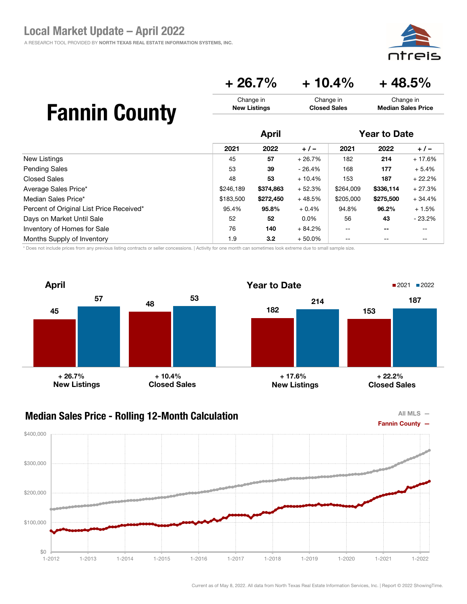

### $+ 26.7\% + 10.4\% + 48.5\%$

Change in Closed Sales

| <b>Fannin County</b> |  |
|----------------------|--|
|----------------------|--|

|                                          | <b>April</b> |                  |          | <b>Year to Date</b>                   |                          |          |
|------------------------------------------|--------------|------------------|----------|---------------------------------------|--------------------------|----------|
|                                          | 2021         | 2022             | $+/-$    | 2021                                  | 2022                     | $+/-$    |
| <b>New Listings</b>                      | 45           | 57               | $+26.7%$ | 182                                   | 214                      | $+17.6%$ |
| <b>Pending Sales</b>                     | 53           | 39               | $-26.4%$ | 168                                   | 177                      | $+5.4%$  |
| Closed Sales                             | 48           | 53               | $+10.4%$ | 153                                   | 187                      | $+22.2%$ |
| Average Sales Price*                     | \$246,189    | \$374,863        | $+52.3%$ | \$264,009                             | \$336,114                | $+27.3%$ |
| Median Sales Price*                      | \$183,500    | \$272,450        | $+48.5%$ | \$205,000                             | \$275,500                | $+34.4%$ |
| Percent of Original List Price Received* | 95.4%        | 95.8%            | $+0.4%$  | 94.8%                                 | 96.2%                    | $+1.5%$  |
| Days on Market Until Sale                | 52           | 52               | $0.0\%$  | 56                                    | 43                       | $-23.2%$ |
| Inventory of Homes for Sale              | 76           | 140              | $+84.2%$ | $\hspace{0.05cm}$ – $\hspace{0.05cm}$ | $\overline{\phantom{m}}$ | --       |
| Months Supply of Inventory               | 1.9          | 3.2 <sub>2</sub> | $+50.0%$ | $-$                                   | $- -$                    | --       |

Change in New Listings

\* Does not include prices from any previous listing contracts or seller concessions. | Activity for one month can sometimes look extreme due to small sample size.





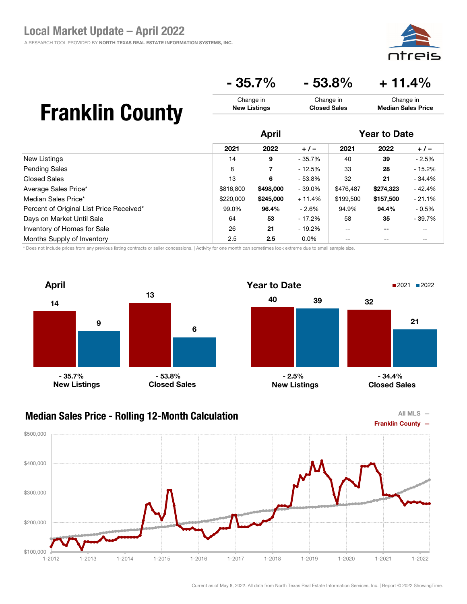pic חר

Change in Median Sales Price

## $-35.7\%$   $-53.8\%$   $+11.4\%$

Change in Closed Sales

## Franklin County

|                                          | <b>April</b> |           |          | <b>Year to Date</b> |           |          |
|------------------------------------------|--------------|-----------|----------|---------------------|-----------|----------|
|                                          | 2021         | 2022      | $+/-$    | 2021                | 2022      | $+/-$    |
| New Listings                             | 14           | 9         | $-35.7%$ | 40                  | 39        | $-2.5%$  |
| <b>Pending Sales</b>                     | 8            | 7         | $-12.5%$ | 33                  | 28        | $-15.2%$ |
| Closed Sales                             | 13           | 6         | $-53.8%$ | 32                  | 21        | $-34.4%$ |
| Average Sales Price*                     | \$816,800    | \$498,000 | $-39.0%$ | \$476,487           | \$274,323 | $-42.4%$ |
| Median Sales Price*                      | \$220,000    | \$245,000 | $+11.4%$ | \$199,500           | \$157,500 | $-21.1%$ |
| Percent of Original List Price Received* | 99.0%        | 96.4%     | - 2.6%   | 94.9%               | 94.4%     | $-0.5%$  |
| Days on Market Until Sale                | 64           | 53        | - 17.2%  | 58                  | 35        | $-39.7%$ |
| Inventory of Homes for Sale              | 26           | 21        | - 19.2%  | $- -$               | --        | --       |
| Months Supply of Inventory               | 2.5          | 2.5       | $0.0\%$  | --                  | --        | --       |

Change in New Listings

\* Does not include prices from any previous listing contracts or seller concessions. | Activity for one month can sometimes look extreme due to small sample size.





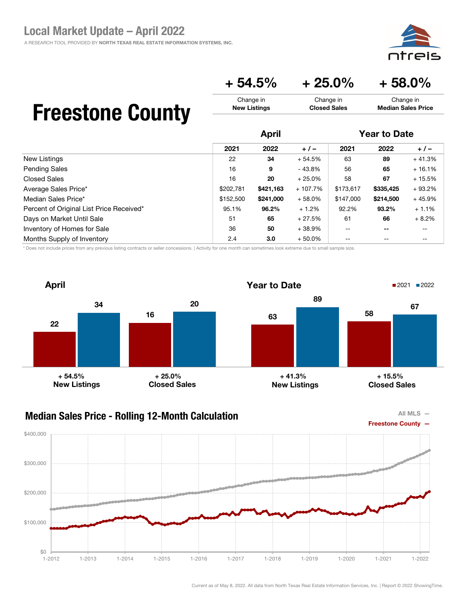### $+ 54.5\% + 25.0\% + 58.0\%$

Change in Closed Sales

## Freestone County

|                                          | <b>April</b> |           |           | <b>Year to Date</b> |                          |          |
|------------------------------------------|--------------|-----------|-----------|---------------------|--------------------------|----------|
|                                          | 2021         | 2022      | $+/-$     | 2021                | 2022                     | $+/-$    |
| New Listings                             | 22           | 34        | $+54.5%$  | 63                  | 89                       | $+41.3%$ |
| <b>Pending Sales</b>                     | 16           | 9         | $-43.8%$  | 56                  | 65                       | $+16.1%$ |
| <b>Closed Sales</b>                      | 16           | 20        | $+25.0%$  | 58                  | 67                       | $+15.5%$ |
| Average Sales Price*                     | \$202,781    | \$421,163 | $+107.7%$ | \$173,617           | \$335,425                | $+93.2%$ |
| Median Sales Price*                      | \$152,500    | \$241,000 | $+58.0%$  | \$147,000           | \$214,500                | $+45.9%$ |
| Percent of Original List Price Received* | 95.1%        | 96.2%     | $+1.2%$   | 92.2%               | 93.2%                    | $+1.1%$  |
| Days on Market Until Sale                | 51           | 65        | $+27.5%$  | 61                  | 66                       | $+8.2%$  |
| Inventory of Homes for Sale              | 36           | 50        | $+38.9%$  | $- -$               | $\overline{\phantom{m}}$ | --       |
| Months Supply of Inventory               | 2.4          | 3.0       | $+50.0%$  | --                  | $- -$                    | --       |

Change in New Listings

\* Does not include prices from any previous listing contracts or seller concessions. | Activity for one month can sometimes look extreme due to small sample size.



#### Median Sales Price - Rolling 12-Month Calculation



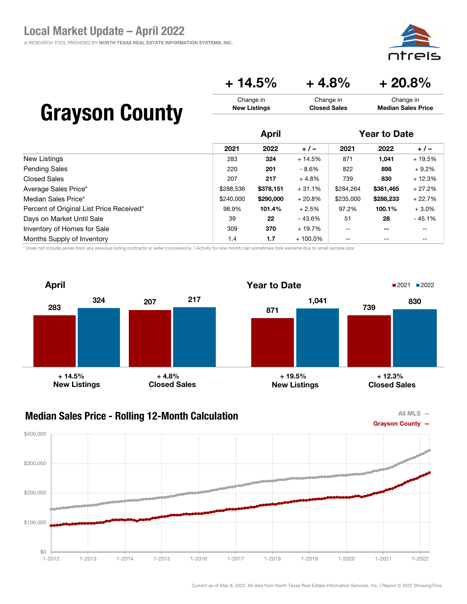eis

Change in Median Sales Price

### $+ 14.5\% + 4.8\% + 20.8\%$

Change in Closed Sales

| <b>Grayson County</b> |  |
|-----------------------|--|
|-----------------------|--|

|                                          |           | <b>April</b> |            |           | <b>Year to Date</b>      |          |  |
|------------------------------------------|-----------|--------------|------------|-----------|--------------------------|----------|--|
|                                          | 2021      | 2022         | $+/-$      | 2021      | 2022                     | $+/-$    |  |
| New Listings                             | 283       | 324          | $+14.5%$   | 871       | 1,041                    | $+19.5%$ |  |
| <b>Pending Sales</b>                     | 220       | 201          | - 8.6%     | 822       | 898                      | $+9.2%$  |  |
| <b>Closed Sales</b>                      | 207       | 217          | $+4.8%$    | 739       | 830                      | $+12.3%$ |  |
| Average Sales Price*                     | \$288,536 | \$378,151    | $+31.1%$   | \$284,264 | \$361,465                | $+27.2%$ |  |
| Median Sales Price*                      | \$240,000 | \$290,000    | $+20.8%$   | \$235,000 | \$288,233                | $+22.7%$ |  |
| Percent of Original List Price Received* | 98.9%     | 101.4%       | $+2.5%$    | 97.2%     | 100.1%                   | $+3.0%$  |  |
| Days on Market Until Sale                | 39        | 22           | - 43.6%    | 51        | 28                       | $-45.1%$ |  |
| Inventory of Homes for Sale              | 309       | 370          | $+19.7%$   | $- -$     | $\overline{\phantom{m}}$ | --       |  |
| Months Supply of Inventory               | 1.4       | 1.7          | $+100.0\%$ | $- -$     | --                       | --       |  |

Change in New Listings

\* Does not include prices from any previous listing contracts or seller concessions. | Activity for one month can sometimes look extreme due to small sample size.





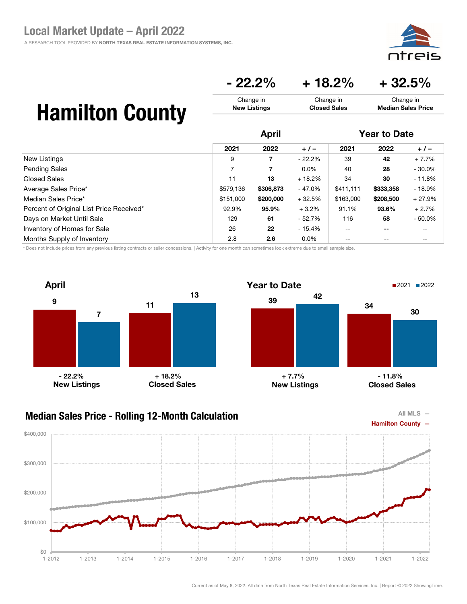$-22.2\% + 18.2\% + 32.5\%$ 

Change in Closed Sales

# Hamilton County

|                                          | <b>April</b> |           |          | <b>Year to Date</b> |           |           |
|------------------------------------------|--------------|-----------|----------|---------------------|-----------|-----------|
|                                          | 2021         | 2022      | $+/-$    | 2021                | 2022      | $+/-$     |
| New Listings                             | 9            | 7         | $-22.2%$ | 39                  | 42        | $+7.7%$   |
| <b>Pending Sales</b>                     | 7            | 7         | $0.0\%$  | 40                  | 28        | $-30.0%$  |
| Closed Sales                             | 11           | 13        | $+18.2%$ | 34                  | 30        | $-11.8%$  |
| Average Sales Price*                     | \$579,136    | \$306,873 | $-47.0%$ | \$411,111           | \$333,358 | $-18.9%$  |
| Median Sales Price*                      | \$151,000    | \$200,000 | $+32.5%$ | \$163,000           | \$208,500 | $+27.9%$  |
| Percent of Original List Price Received* | 92.9%        | 95.9%     | $+3.2\%$ | 91.1%               | 93.6%     | $+2.7%$   |
| Days on Market Until Sale                | 129          | 61        | $-52.7%$ | 116                 | 58        | $-50.0\%$ |
| Inventory of Homes for Sale              | 26           | 22        | $-15.4%$ | $-$                 | --        | $- -$     |
| Months Supply of Inventory               | 2.8          | 2.6       | $0.0\%$  | $- -$               | --        | --        |

Change in New Listings

\* Does not include prices from any previous listing contracts or seller concessions. | Activity for one month can sometimes look extreme due to small sample size.



### Median Sales Price - Rolling 12-Month Calculation



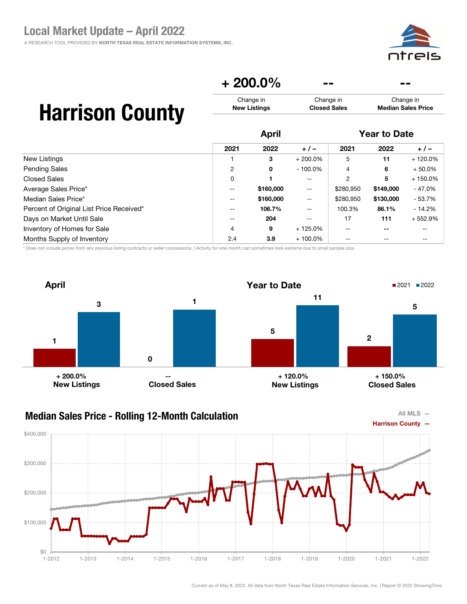

## $+200.0\%$

Change in Closed Sales

## Harrison County

|                                          |                   | <b>April</b> |                          |                | <b>Year to Date</b> |           |  |
|------------------------------------------|-------------------|--------------|--------------------------|----------------|---------------------|-----------|--|
|                                          | 2021              | 2022         | $+/-$                    | 2021           | 2022                | $+/-$     |  |
| New Listings                             |                   | 3            | $+200.0\%$               | 5              | 11                  | $+120.0%$ |  |
| <b>Pending Sales</b>                     | 2                 | 0            | $-100.0\%$               | 4              | 6                   | $+50.0\%$ |  |
| <b>Closed Sales</b>                      | 0                 |              | $\overline{\phantom{m}}$ | $\overline{2}$ | 5                   | $+150.0%$ |  |
| Average Sales Price*                     | $- -$             | \$160,000    | $\overline{\phantom{m}}$ | \$280,950      | \$149,000           | $-47.0%$  |  |
| Median Sales Price*                      | $\qquad \qquad -$ | \$160,000    | $\overline{\phantom{a}}$ | \$280,950      | \$130,000           | $-53.7%$  |  |
| Percent of Original List Price Received* | $- -$             | 106.7%       | $\overline{\phantom{m}}$ | 100.3%         | 86.1%               | $-14.2%$  |  |
| Days on Market Until Sale                | $- -$             | 204          | $- -$                    | 17             | 111                 | $+552.9%$ |  |
| Inventory of Homes for Sale              | 4                 | 9            | $+125.0\%$               | --             |                     | --        |  |
| Months Supply of Inventory               | 2.4               | 3.9          | $+100.0\%$               |                |                     | --        |  |

Change in New Listings

\* Does not include prices from any previous listing contracts or seller concessions. | Activity for one month can sometimes look extreme due to small sample size.



#### Median Sales Price - Rolling 12-Month Calculation



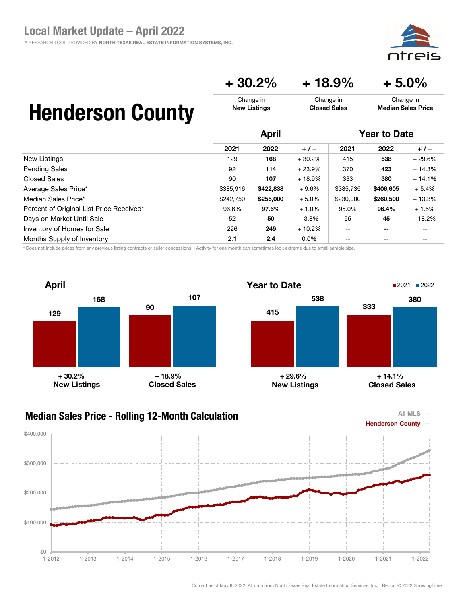## $+30.2\%$   $+18.9\%$   $+5.0\%$

Change in Closed Sales

## Henderson County

|                                          | <b>April</b> |           |          | <b>Year to Date</b> |                          |          |
|------------------------------------------|--------------|-----------|----------|---------------------|--------------------------|----------|
|                                          | 2021         | 2022      | $+/-$    | 2021                | 2022                     | $+/-$    |
| New Listings                             | 129          | 168       | $+30.2%$ | 415                 | 538                      | $+29.6%$ |
| <b>Pending Sales</b>                     | 92           | 114       | $+23.9%$ | 370                 | 423                      | $+14.3%$ |
| <b>Closed Sales</b>                      | 90           | 107       | $+18.9%$ | 333                 | 380                      | $+14.1%$ |
| Average Sales Price*                     | \$385.916    | \$422,838 | $+9.6%$  | \$385,735           | \$406,605                | $+5.4%$  |
| Median Sales Price*                      | \$242.750    | \$255,000 | $+5.0%$  | \$230,000           | \$260,500                | $+13.3%$ |
| Percent of Original List Price Received* | 96.6%        | 97.6%     | $+1.0%$  | 95.0%               | 96.4%                    | $+1.5%$  |
| Days on Market Until Sale                | 52           | 50        | $-3.8\%$ | 55                  | 45                       | $-18.2%$ |
| Inventory of Homes for Sale              | 226          | 249       | $+10.2%$ | $\qquad \qquad -$   | $\overline{\phantom{m}}$ | --       |
| Months Supply of Inventory               | 2.1          | 2.4       | $0.0\%$  | $- -$               | --                       | --       |

Change in New Listings

\* Does not include prices from any previous listing contracts or seller concessions. | Activity for one month can sometimes look extreme due to small sample size.





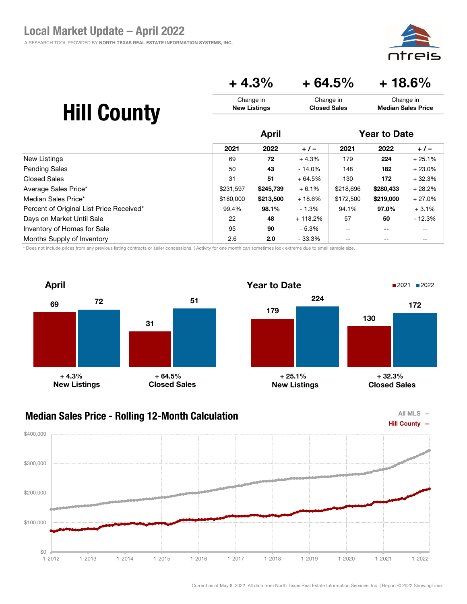eis חר

## $+4.3\%$   $+64.5\%$   $+18.6\%$

| <b>Hill County</b> | Change in           | Change in           | Change in                 |
|--------------------|---------------------|---------------------|---------------------------|
|                    | <b>New Listings</b> | <b>Closed Sales</b> | <b>Median Sales Price</b> |
|                    | April               |                     | <b>Year to Date</b>       |

|                                          | 2021      | 2022      | $+/-$     | 2021      | 2022      | $+/-$     |
|------------------------------------------|-----------|-----------|-----------|-----------|-----------|-----------|
| New Listings                             | 69        | 72        | $+4.3%$   | 179       | 224       | $+25.1%$  |
| <b>Pending Sales</b>                     | 50        | 43        | $-14.0\%$ | 148       | 182       | $+23.0\%$ |
| <b>Closed Sales</b>                      | 31        | 51        | $+64.5%$  | 130       | 172       | $+32.3%$  |
| Average Sales Price*                     | \$231,597 | \$245,739 | $+6.1%$   | \$218,696 | \$280,433 | $+28.2%$  |
| Median Sales Price*                      | \$180,000 | \$213,500 | $+18.6%$  | \$172,500 | \$219,000 | $+27.0%$  |
| Percent of Original List Price Received* | 99.4%     | 98.1%     | $-1.3%$   | 94.1%     | 97.0%     | $+3.1%$   |
| Days on Market Until Sale                | 22        | 48        | $+118.2%$ | 57        | 50        | $-12.3%$  |
| Inventory of Homes for Sale              | 95        | 90        | $-5.3%$   | $- -$     | $- -$     | $- -$     |
| Months Supply of Inventory               | 2.6       | 2.0       | $-33.3%$  | $- -$     | $- -$     | --        |

\* Does not include prices from any previous listing contracts or seller concessions. | Activity for one month can sometimes look extreme due to small sample size.



#### Median Sales Price - Rolling 12-Month Calculation



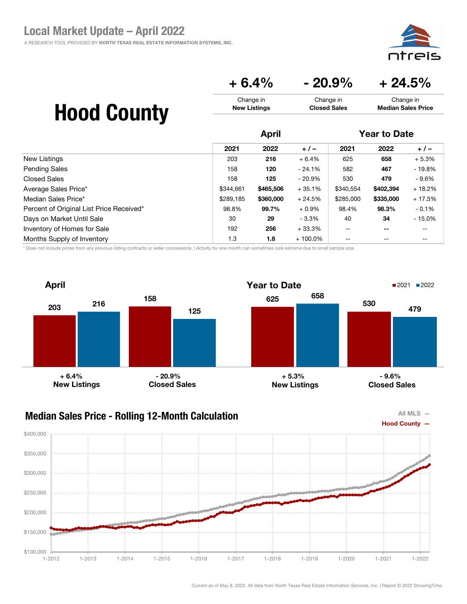⊇i⊂

Change in Median Sales Price

## $+ 6.4\%$   $- 20.9\%$   $+ 24.5\%$

Change in Closed Sales

# Hood County

|                                          | <b>April</b> |           |            | <b>Year to Date</b> |           |          |
|------------------------------------------|--------------|-----------|------------|---------------------|-----------|----------|
|                                          | 2021         | 2022      | $+/-$      | 2021                | 2022      | $+/-$    |
| New Listings                             | 203          | 216       | $+6.4%$    | 625                 | 658       | $+5.3%$  |
| <b>Pending Sales</b>                     | 158          | 120       | $-24.1%$   | 582                 | 467       | - 19.8%  |
| <b>Closed Sales</b>                      | 158          | 125       | - 20.9%    | 530                 | 479       | - 9.6%   |
| Average Sales Price*                     | \$344,661    | \$465,506 | $+35.1%$   | \$340,554           | \$402,394 | $+18.2%$ |
| Median Sales Price*                      | \$289,185    | \$360,000 | $+24.5%$   | \$285,000           | \$335,000 | $+17.5%$ |
| Percent of Original List Price Received* | 98.8%        | 99.7%     | $+0.9\%$   | 98.4%               | 98.3%     | $-0.1%$  |
| Days on Market Until Sale                | 30           | 29        | $-3.3\%$   | 40                  | 34        | $-15.0%$ |
| Inventory of Homes for Sale              | 192          | 256       | $+33.3%$   | $- -$               | --        | --       |
| Months Supply of Inventory               | 1.3          | 1.8       | $+100.0\%$ | --                  | --        | --       |

Change in New Listings

\* Does not include prices from any previous listing contracts or seller concessions. | Activity for one month can sometimes look extreme due to small sample size.





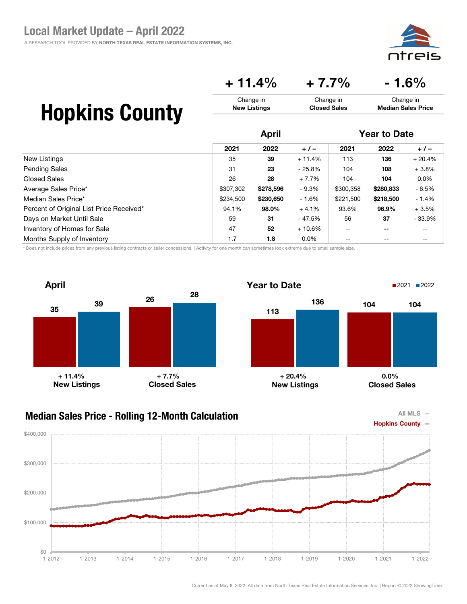

 $+ 11.4\% + 7.7\% - 1.6\%$ 

Change in Closed Sales

# Hopkins County

|                                          |           | April     |          |           | <b>Year to Date</b>      |          |  |
|------------------------------------------|-----------|-----------|----------|-----------|--------------------------|----------|--|
|                                          | 2021      | 2022      | $+/-$    | 2021      | 2022                     | $+/-$    |  |
| New Listings                             | 35        | 39        | $+11.4%$ | 113       | 136                      | $+20.4%$ |  |
| <b>Pending Sales</b>                     | 31        | 23        | $-25.8%$ | 104       | 108                      | $+3.8%$  |  |
| <b>Closed Sales</b>                      | 26        | 28        | $+7.7%$  | 104       | 104                      | $0.0\%$  |  |
| Average Sales Price*                     | \$307,302 | \$278,596 | $-9.3\%$ | \$300,358 | \$280,833                | $-6.5%$  |  |
| Median Sales Price*                      | \$234.500 | \$230,650 | - 1.6%   | \$221,500 | \$218,500                | $-1.4%$  |  |
| Percent of Original List Price Received* | 94.1%     | 98.0%     | $+4.1%$  | 93.6%     | 96.9%                    | $+3.5%$  |  |
| Days on Market Until Sale                | 59        | 31        | - 47.5%  | 56        | 37                       | $-33.9%$ |  |
| Inventory of Homes for Sale              | 47        | 52        | $+10.6%$ | $-$       | $\overline{\phantom{m}}$ | --       |  |
| Months Supply of Inventory               | 1.7       | 1.8       | $0.0\%$  | --        | $- -$                    | --       |  |

Change in New Listings

\* Does not include prices from any previous listing contracts or seller concessions. | Activity for one month can sometimes look extreme due to small sample size.



#### Median Sales Price - Rolling 12-Month Calculation



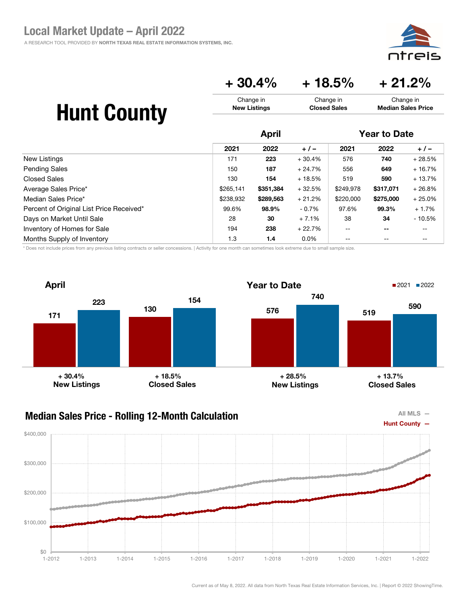

### $+30.4\%$   $+18.5\%$   $+21.2\%$

| <b>Hunt County</b> | Change in           | Change in           | Change in                 |
|--------------------|---------------------|---------------------|---------------------------|
|                    | <b>New Listings</b> | <b>Closed Sales</b> | <b>Median Sales Price</b> |
|                    |                     |                     |                           |

|                                          | <b>April</b> |           |          | <b>Year to Date</b> |           |          |
|------------------------------------------|--------------|-----------|----------|---------------------|-----------|----------|
|                                          | 2021         | 2022      | $+/-$    | 2021                | 2022      | $+/-$    |
| New Listings                             | 171          | 223       | $+30.4%$ | 576                 | 740       | $+28.5%$ |
| <b>Pending Sales</b>                     | 150          | 187       | $+24.7%$ | 556                 | 649       | $+16.7%$ |
| <b>Closed Sales</b>                      | 130          | 154       | $+18.5%$ | 519                 | 590       | $+13.7%$ |
| Average Sales Price*                     | \$265,141    | \$351,384 | $+32.5%$ | \$249,978           | \$317,071 | $+26.8%$ |
| Median Sales Price*                      | \$238,932    | \$289,563 | $+21.2%$ | \$220,000           | \$275,000 | $+25.0%$ |
| Percent of Original List Price Received* | 99.6%        | 98.9%     | $-0.7\%$ | 97.6%               | 99.3%     | $+1.7%$  |
| Days on Market Until Sale                | 28           | 30        | $+7.1%$  | 38                  | 34        | - 10.5%  |
| Inventory of Homes for Sale              | 194          | 238       | $+22.7%$ | $- -$               | $- -$     | --       |
| Months Supply of Inventory               | 1.3          | 1.4       | $0.0\%$  | --                  |           | $- -$    |

\* Does not include prices from any previous listing contracts or seller concessions. | Activity for one month can sometimes look extreme due to small sample size.





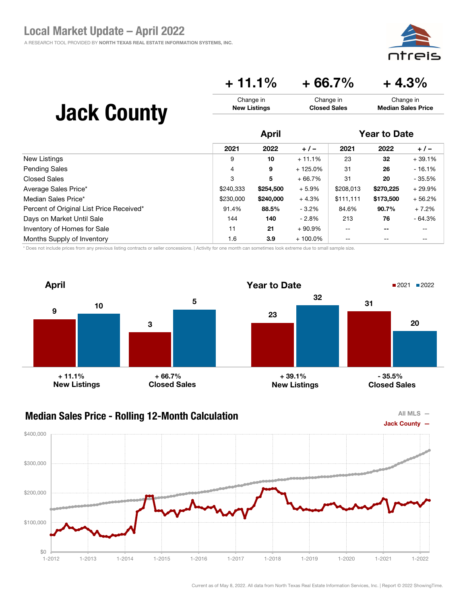eis חר

### $+ 11.1\% + 66.7\% + 4.3\%$

| <b>Jack County</b> | Change in           | Change in           | Change in                 |
|--------------------|---------------------|---------------------|---------------------------|
|                    | <b>New Listings</b> | <b>Closed Sales</b> | <b>Median Sales Price</b> |
|                    |                     |                     |                           |

|                                          | April     |           |            | <b>Year to Date</b> |           |           |
|------------------------------------------|-----------|-----------|------------|---------------------|-----------|-----------|
|                                          | 2021      | 2022      | $+/-$      | 2021                | 2022      | $+/-$     |
| New Listings                             | 9         | 10        | $+11.1%$   | 23                  | 32        | $+39.1%$  |
| <b>Pending Sales</b>                     | 4         | 9         | $+125.0\%$ | 31                  | 26        | $-16.1%$  |
| Closed Sales                             | 3         | 5         | $+66.7%$   | 31                  | 20        | $-35.5%$  |
| Average Sales Price*                     | \$240,333 | \$254,500 | $+5.9%$    | \$208,013           | \$270,225 | $+29.9\%$ |
| Median Sales Price*                      | \$230,000 | \$240,000 | $+4.3%$    | \$111,111           | \$173,500 | $+56.2%$  |
| Percent of Original List Price Received* | 91.4%     | 88.5%     | $-3.2\%$   | 84.6%               | 90.7%     | $+7.2%$   |
| Days on Market Until Sale                | 144       | 140       | $-2.8\%$   | 213                 | 76        | $-64.3%$  |
| Inventory of Homes for Sale              | 11        | 21        | $+90.9%$   | $- -$               | --        | --        |
| Months Supply of Inventory               | 1.6       | 3.9       | $+100.0\%$ | $- -$               | $- -$     | --        |

\* Does not include prices from any previous listing contracts or seller concessions. | Activity for one month can sometimes look extreme due to small sample size.



#### Median Sales Price - Rolling 12-Month Calculation



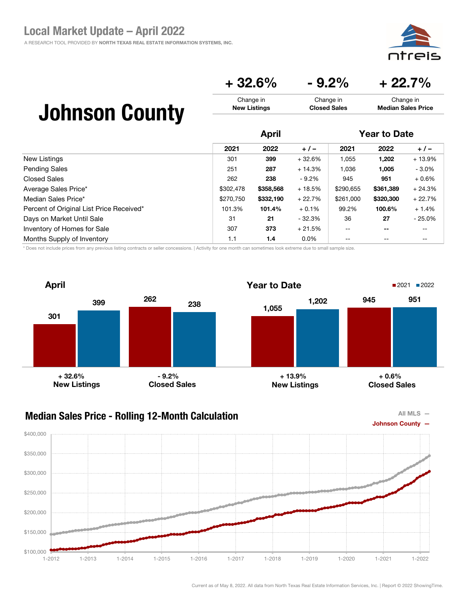⊇i⊂

### $+32.6\%$   $-9.2\%$   $+22.7\%$

#### Johnson County Change in New Listings Change in Closed Sales Change in Median Sales Price

|                                          |           | <b>April</b> |          |           | <b>Year to Date</b>      |           |  |
|------------------------------------------|-----------|--------------|----------|-----------|--------------------------|-----------|--|
|                                          | 2021      | 2022         | $+/-$    | 2021      | 2022                     | $+/-$     |  |
| New Listings                             | 301       | 399          | $+32.6%$ | 1,055     | 1,202                    | $+13.9%$  |  |
| <b>Pending Sales</b>                     | 251       | 287          | $+14.3%$ | 1.036     | 1,005                    | $-3.0\%$  |  |
| <b>Closed Sales</b>                      | 262       | 238          | $-9.2\%$ | 945       | 951                      | $+0.6%$   |  |
| Average Sales Price*                     | \$302,478 | \$358,568    | $+18.5%$ | \$290,655 | \$361,389                | $+24.3%$  |  |
| Median Sales Price*                      | \$270.750 | \$332.190    | $+22.7%$ | \$261,000 | \$320,300                | $+22.7%$  |  |
| Percent of Original List Price Received* | 101.3%    | 101.4%       | $+0.1%$  | 99.2%     | 100.6%                   | $+1.4%$   |  |
| Days on Market Until Sale                | 31        | 21           | - 32.3%  | 36        | 27                       | $-25.0\%$ |  |
| Inventory of Homes for Sale              | 307       | 373          | $+21.5%$ | $- -$     | $\overline{\phantom{m}}$ | $- -$     |  |
| Months Supply of Inventory               | 1.1       | 1.4          | $0.0\%$  | $- -$     | $- -$                    | $- -$     |  |

\* Does not include prices from any previous listing contracts or seller concessions. | Activity for one month can sometimes look extreme due to small sample size.



### Median Sales Price - Rolling 12-Month Calculation



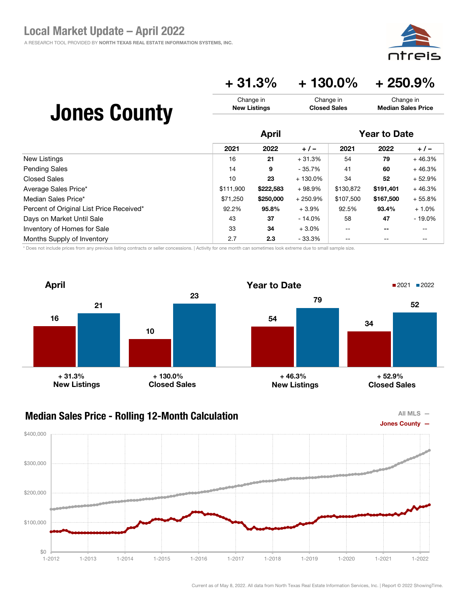

### + 31.3% + 130.0% + 250.9%

| <b>Jones County</b> | Change in           | Change in           | Change in                 |
|---------------------|---------------------|---------------------|---------------------------|
|                     | <b>New Listings</b> | <b>Closed Sales</b> | <b>Median Sales Price</b> |
|                     | <b>April</b>        |                     | <b>Year to Date</b>       |

|                                          | 2021      | 2022      | $+/-$      | 2021      | 2022      | $+/-$     |
|------------------------------------------|-----------|-----------|------------|-----------|-----------|-----------|
| New Listings                             | 16        | 21        | $+31.3%$   | 54        | 79        | $+46.3%$  |
| <b>Pending Sales</b>                     | 14        | 9         | $-35.7%$   | 41        | 60        | $+46.3%$  |
| <b>Closed Sales</b>                      | 10        | 23        | $+130.0\%$ | 34        | 52        | $+52.9%$  |
| Average Sales Price*                     | \$111.900 | \$222,583 | $+98.9%$   | \$130,872 | \$191.401 | $+46.3%$  |
| Median Sales Price*                      | \$71,250  | \$250,000 | $+250.9%$  | \$107,500 | \$167,500 | $+55.8%$  |
| Percent of Original List Price Received* | 92.2%     | 95.8%     | $+3.9\%$   | 92.5%     | 93.4%     | $+1.0%$   |
| Days on Market Until Sale                | 43        | 37        | $-14.0%$   | 58        | 47        | $-19.0\%$ |
| Inventory of Homes for Sale              | 33        | 34        | $+3.0\%$   | $- -$     | $ -$      | $- -$     |
| Months Supply of Inventory               | 2.7       | 2.3       | $-33.3\%$  |           |           |           |

\* Does not include prices from any previous listing contracts or seller concessions. | Activity for one month can sometimes look extreme due to small sample size.



### Median Sales Price - Rolling 12-Month Calculation



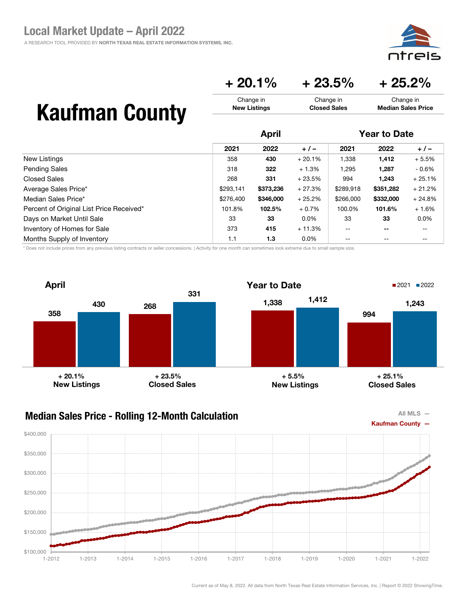⊇i⊂

Change in Median Sales Price

## $+ 20.1\% + 23.5\% + 25.2\%$

Change in Closed Sales

## Kaufman County

|                                          |           | <b>April</b> |          |                | <b>Year to Date</b> |          |  |
|------------------------------------------|-----------|--------------|----------|----------------|---------------------|----------|--|
|                                          | 2021      | 2022         | $+/-$    | 2021           | 2022                | $+/-$    |  |
| New Listings                             | 358       | 430          | $+20.1%$ | 1,338          | 1,412               | $+5.5%$  |  |
| <b>Pending Sales</b>                     | 318       | 322          | $+1.3%$  | 1,295          | 1,287               | $-0.6\%$ |  |
| Closed Sales                             | 268       | 331          | $+23.5%$ | 994            | 1.243               | $+25.1%$ |  |
| Average Sales Price*                     | \$293,141 | \$373,236    | $+27.3%$ | \$289,918      | \$351,282           | $+21.2%$ |  |
| Median Sales Price*                      | \$276,400 | \$346,000    | $+25.2%$ | \$266,000      | \$332,000           | $+24.8%$ |  |
| Percent of Original List Price Received* | 101.8%    | 102.5%       | $+0.7%$  | 100.0%         | 101.6%              | $+1.6%$  |  |
| Days on Market Until Sale                | 33        | 33           | $0.0\%$  | 33             | 33                  | $0.0\%$  |  |
| Inventory of Homes for Sale              | 373       | 415          | $+11.3%$ | $\overline{a}$ | --                  | --       |  |
| Months Supply of Inventory               | 1.1       | 1.3          | $0.0\%$  | $- -$          | $- -$               | $- -$    |  |

Change in New Listings

\* Does not include prices from any previous listing contracts or seller concessions. | Activity for one month can sometimes look extreme due to small sample size.





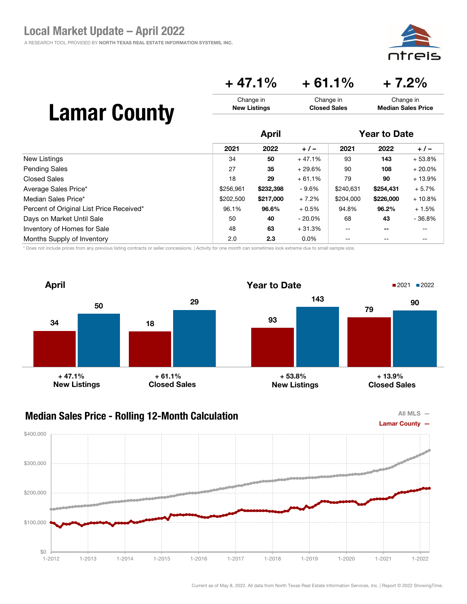eis חזר

### $+47.1\% + 61.1\% + 7.2\%$

| <b>Lamar County</b> | Change in<br><b>New Listings</b> | Change in<br>Change in<br><b>Median Sales Price</b><br><b>Closed Sales</b> |                     |  |
|---------------------|----------------------------------|----------------------------------------------------------------------------|---------------------|--|
|                     | Δnril                            |                                                                            | <b>Year to Date</b> |  |

|                                          |           | .         |           |           |                          |           |  |
|------------------------------------------|-----------|-----------|-----------|-----------|--------------------------|-----------|--|
|                                          | 2021      | 2022      | $+/-$     | 2021      | 2022                     | $+/-$     |  |
| New Listings                             | 34        | 50        | $+47.1%$  | 93        | 143                      | $+53.8%$  |  |
| <b>Pending Sales</b>                     | 27        | 35        | $+29.6%$  | 90        | 108                      | $+20.0\%$ |  |
| <b>Closed Sales</b>                      | 18        | 29        | $+61.1%$  | 79        | 90                       | $+13.9%$  |  |
| Average Sales Price*                     | \$256,961 | \$232,398 | - 9.6%    | \$240,631 | \$254,431                | $+5.7%$   |  |
| Median Sales Price*                      | \$202,500 | \$217,000 | $+7.2%$   | \$204,000 | \$226,000                | $+10.8%$  |  |
| Percent of Original List Price Received* | 96.1%     | 96.6%     | $+0.5%$   | 94.8%     | 96.2%                    | $+1.5%$   |  |
| Days on Market Until Sale                | 50        | 40        | $-20.0\%$ | 68        | 43                       | $-36.8%$  |  |
| Inventory of Homes for Sale              | 48        | 63        | $+31.3%$  | $- -$     | $\overline{\phantom{m}}$ | $- -$     |  |
| Months Supply of Inventory               | 2.0       | 2.3       | $0.0\%$   |           | --                       | --        |  |

\* Does not include prices from any previous listing contracts or seller concessions. | Activity for one month can sometimes look extreme due to small sample size.



#### Median Sales Price - Rolling 12-Month Calculation



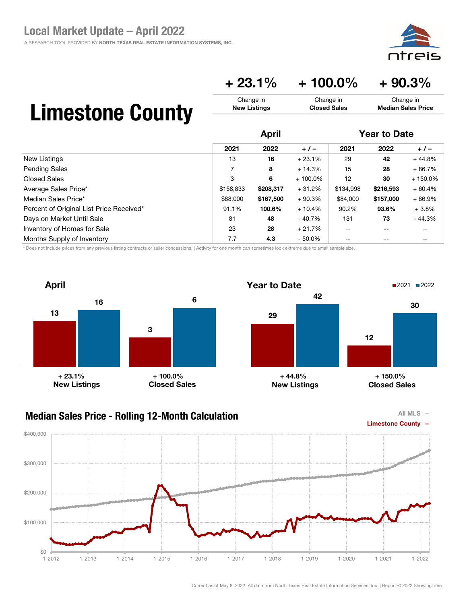

### $+ 23.1\% + 100.0\% + 90.3\%$

Change in Closed Sales

## Limestone County

|                                          |           | <b>April</b> |            |           | <b>Year to Date</b> |            |  |
|------------------------------------------|-----------|--------------|------------|-----------|---------------------|------------|--|
|                                          | 2021      | 2022         | $+/-$      | 2021      | 2022                | $+/-$      |  |
| <b>New Listings</b>                      | 13        | 16           | $+23.1%$   | 29        | 42                  | $+44.8%$   |  |
| <b>Pending Sales</b>                     | 7         | 8            | $+14.3%$   | 15        | 28                  | $+86.7%$   |  |
| <b>Closed Sales</b>                      | 3         | 6            | $+100.0\%$ | 12        | 30                  | $+150.0\%$ |  |
| Average Sales Price*                     | \$158,833 | \$208,317    | $+31.2%$   | \$134,998 | \$216,593           | $+60.4%$   |  |
| Median Sales Price*                      | \$88,000  | \$167,500    | $+90.3%$   | \$84,000  | \$157,000           | $+86.9%$   |  |
| Percent of Original List Price Received* | 91.1%     | 100.6%       | $+10.4%$   | 90.2%     | 93.6%               | $+3.8%$    |  |
| Days on Market Until Sale                | 81        | 48           | - 40.7%    | 131       | 73                  | $-44.3%$   |  |
| Inventory of Homes for Sale              | 23        | 28           | $+21.7%$   | $-$       | --                  | --         |  |
| Months Supply of Inventory               | 7.7       | 4.3          | $-50.0\%$  |           | --                  | --         |  |

Change in New Listings

\* Does not include prices from any previous listing contracts or seller concessions. | Activity for one month can sometimes look extreme due to small sample size.





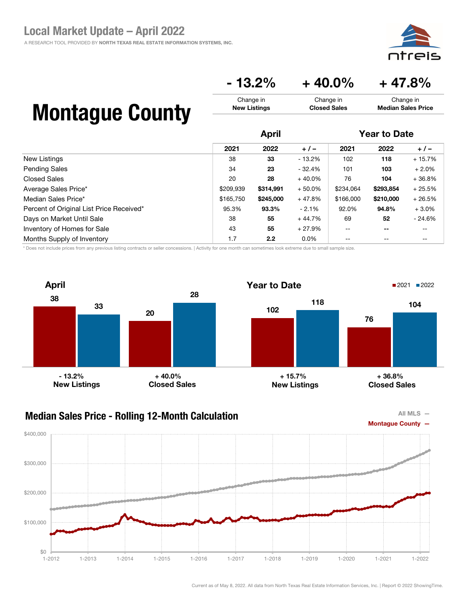A RESEARCH TOOL PROVIDED BY NORTH TEXAS REAL ESTATE INFORMATION SYSTEMS, INC.



Change in Median Sales Price

### $-13.2\% + 40.0\% + 47.8\%$

Change in Closed Sales

## Montague County

|                                          |           | <b>April</b> |          |           | <b>Year to Date</b>      |          |  |
|------------------------------------------|-----------|--------------|----------|-----------|--------------------------|----------|--|
|                                          | 2021      | 2022         | $+/-$    | 2021      | 2022                     | $+/-$    |  |
| New Listings                             | 38        | 33           | - 13.2%  | 102       | 118                      | $+15.7%$ |  |
| <b>Pending Sales</b>                     | 34        | 23           | $-32.4%$ | 101       | 103                      | $+2.0%$  |  |
| <b>Closed Sales</b>                      | 20        | 28           | $+40.0%$ | 76        | 104                      | $+36.8%$ |  |
| Average Sales Price*                     | \$209,939 | \$314,991    | $+50.0%$ | \$234,064 | \$293,854                | $+25.5%$ |  |
| Median Sales Price*                      | \$165,750 | \$245,000    | $+47.8%$ | \$166,000 | \$210,000                | $+26.5%$ |  |
| Percent of Original List Price Received* | 95.3%     | 93.3%        | $-2.1%$  | 92.0%     | 94.8%                    | $+3.0%$  |  |
| Days on Market Until Sale                | 38        | 55           | $+44.7%$ | 69        | 52                       | $-24.6%$ |  |
| Inventory of Homes for Sale              | 43        | 55           | $+27.9%$ | $- -$     | $\overline{\phantom{m}}$ | --       |  |
| Months Supply of Inventory               | 1.7       | 2.2          | $0.0\%$  | --        | $- -$                    | --       |  |

Change in New Listings

\* Does not include prices from any previous listing contracts or seller concessions. | Activity for one month can sometimes look extreme due to small sample size.



#### Median Sales Price - Rolling 12-Month Calculation





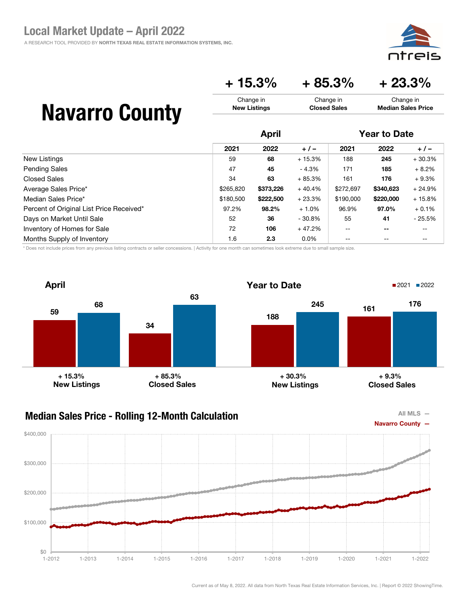

## $+ 15.3\% + 85.3\% + 23.3\%$

Change in Closed Sales

| <b>Navarro County</b> |  |
|-----------------------|--|
|-----------------------|--|

|                                          |           | <b>April</b> |          |           | <b>Year to Date</b> |          |  |
|------------------------------------------|-----------|--------------|----------|-----------|---------------------|----------|--|
|                                          | 2021      | 2022         | $+/-$    | 2021      | 2022                | $+/-$    |  |
| New Listings                             | 59        | 68           | $+15.3%$ | 188       | 245                 | $+30.3%$ |  |
| <b>Pending Sales</b>                     | 47        | 45           | - 4.3%   | 171       | 185                 | $+8.2%$  |  |
| Closed Sales                             | 34        | 63           | $+85.3%$ | 161       | 176                 | $+9.3%$  |  |
| Average Sales Price*                     | \$265,820 | \$373,226    | $+40.4%$ | \$272,697 | \$340,623           | $+24.9%$ |  |
| Median Sales Price*                      | \$180,500 | \$222,500    | $+23.3%$ | \$190,000 | \$220,000           | $+15.8%$ |  |
| Percent of Original List Price Received* | 97.2%     | 98.2%        | $+1.0%$  | 96.9%     | 97.0%               | $+0.1%$  |  |
| Days on Market Until Sale                | 52        | 36           | $-30.8%$ | 55        | 41                  | $-25.5%$ |  |
| Inventory of Homes for Sale              | 72        | 106          | $+47.2%$ | $- -$     | --                  | --       |  |
| Months Supply of Inventory               | 1.6       | 2.3          | $0.0\%$  | --        | $- -$               | --       |  |

Change in New Listings

\* Does not include prices from any previous listing contracts or seller concessions. | Activity for one month can sometimes look extreme due to small sample size.





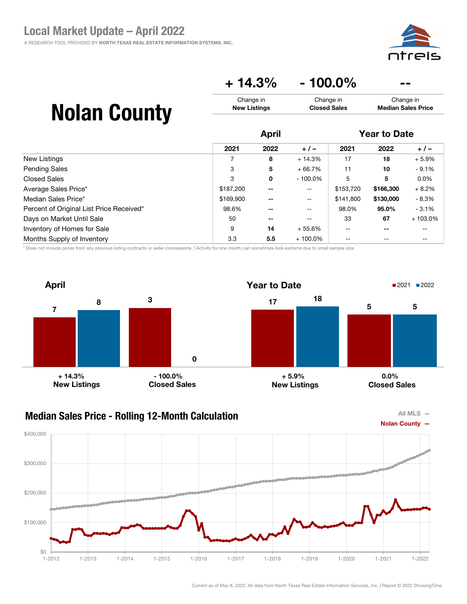![](_page_35_Picture_1.jpeg)

## $+ 14.3\% - 100.0\%$

| <b>Nolan County</b> | Change in           | Change in           | Change in                 |
|---------------------|---------------------|---------------------|---------------------------|
|                     | <b>New Listings</b> | <b>Closed Sales</b> | <b>Median Sales Price</b> |
|                     |                     |                     |                           |

|                                          | <b>April</b> |       |                          | <b>Year to Date</b> |           |           |
|------------------------------------------|--------------|-------|--------------------------|---------------------|-----------|-----------|
|                                          | 2021         | 2022  | $+/-$                    | 2021                | 2022      | $+/-$     |
| New Listings                             |              | 8     | $+14.3%$                 | 17                  | 18        | $+5.9%$   |
| <b>Pending Sales</b>                     | 3            | 5     | $+66.7%$                 | 11                  | 10        | $-9.1%$   |
| Closed Sales                             | 3            | 0     | $-100.0\%$               | 5                   | 5         | $0.0\%$   |
| Average Sales Price*                     | \$187,200    | $- -$ | $\overline{\phantom{m}}$ | \$153,720           | \$166,300 | $+8.2%$   |
| Median Sales Price*                      | \$169,900    | --    | $\mathbf{u}$             | \$141.800           | \$130,000 | $-8.3%$   |
| Percent of Original List Price Received* | 98.6%        | --    | $- -$                    | 98.0%               | 95.0%     | $-3.1%$   |
| Days on Market Until Sale                | 50           | --    | --                       | 33                  | 67        | $+103.0%$ |
| Inventory of Homes for Sale              | 9            | 14    | $+55.6%$                 | $- -$               | $- -$     | --        |
| Months Supply of Inventory               | 3.3          | 5.5   | $+100.0\%$               | --                  |           |           |

\* Does not include prices from any previous listing contracts or seller concessions. | Activity for one month can sometimes look extreme due to small sample size.

![](_page_35_Figure_6.jpeg)

### Median Sales Price - Rolling 12-Month Calculation

![](_page_35_Figure_8.jpeg)

![](_page_35_Figure_9.jpeg)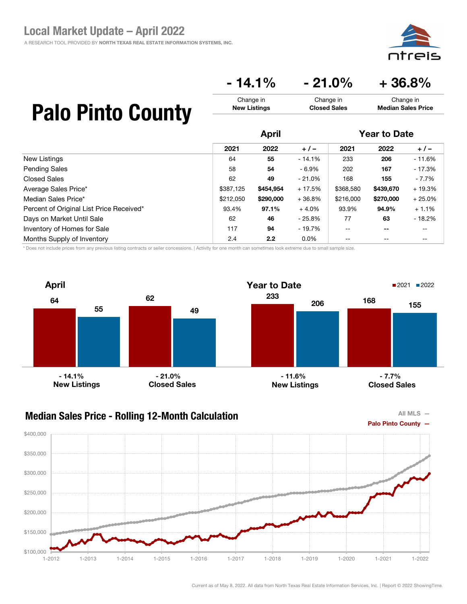![](_page_36_Picture_1.jpeg)

### $-14.1\% - 21.0\% + 36.8\%$

Change in Closed Sales

## Palo Pinto County

|                                          | <b>April</b> |           |           | <b>Year to Date</b> |                          |          |
|------------------------------------------|--------------|-----------|-----------|---------------------|--------------------------|----------|
|                                          | 2021         | 2022      | $+/-$     | 2021                | 2022                     | $+/-$    |
| <b>New Listings</b>                      | 64           | 55        | $-14.1%$  | 233                 | 206                      | $-11.6%$ |
| <b>Pending Sales</b>                     | 58           | 54        | - 6.9%    | 202                 | 167                      | $-17.3%$ |
| <b>Closed Sales</b>                      | 62           | 49        | $-21.0\%$ | 168                 | 155                      | - 7.7%   |
| Average Sales Price*                     | \$387,125    | \$454,954 | $+17.5%$  | \$368,580           | \$439,670                | $+19.3%$ |
| Median Sales Price*                      | \$212,050    | \$290,000 | $+36.8%$  | \$216,000           | \$270,000                | $+25.0%$ |
| Percent of Original List Price Received* | 93.4%        | 97.1%     | $+4.0%$   | 93.9%               | 94.9%                    | $+1.1%$  |
| Days on Market Until Sale                | 62           | 46        | $-25.8%$  | 77                  | 63                       | $-18.2%$ |
| Inventory of Homes for Sale              | 117          | 94        | - 19.7%   | $- -$               | $\overline{\phantom{m}}$ | --       |
| Months Supply of Inventory               | 2.4          | 2.2       | $0.0\%$   | $-$                 | $- -$                    | --       |

Change in New Listings

\* Does not include prices from any previous listing contracts or seller concessions. | Activity for one month can sometimes look extreme due to small sample size.

![](_page_36_Figure_6.jpeg)

### Median Sales Price - Rolling 12-Month Calculation

![](_page_36_Figure_8.jpeg)

![](_page_36_Figure_9.jpeg)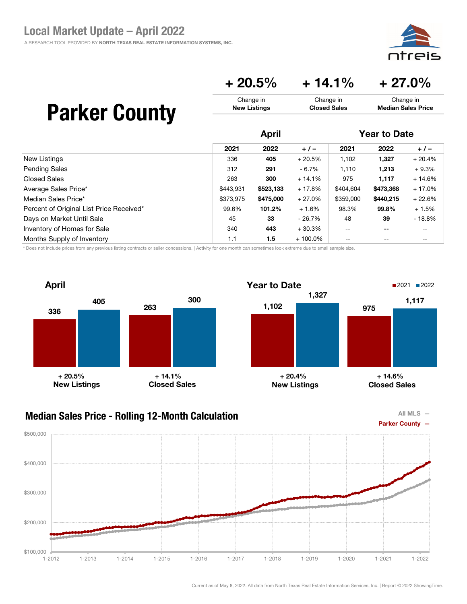ais

Change in Median Sales Price

### $+ 20.5\% + 14.1\% + 27.0\%$

Change in Closed Sales

| <b>Parker County</b> |  |
|----------------------|--|
|----------------------|--|

|                                          | <b>April</b> |           |            | <b>Year to Date</b>                   |                          |          |
|------------------------------------------|--------------|-----------|------------|---------------------------------------|--------------------------|----------|
|                                          | 2021         | 2022      | $+ 1 -$    | 2021                                  | 2022                     | $+/-$    |
| New Listings                             | 336          | 405       | $+20.5%$   | 1,102                                 | 1,327                    | $+20.4%$ |
| <b>Pending Sales</b>                     | 312          | 291       | - 6.7%     | 1,110                                 | 1,213                    | $+9.3%$  |
| Closed Sales                             | 263          | 300       | $+14.1%$   | 975                                   | 1,117                    | $+14.6%$ |
| Average Sales Price*                     | \$443.931    | \$523,133 | $+17.8%$   | \$404,604                             | \$473,368                | $+17.0%$ |
| Median Sales Price*                      | \$373.975    | \$475,000 | $+27.0%$   | \$359,000                             | \$440.215                | $+22.6%$ |
| Percent of Original List Price Received* | 99.6%        | 101.2%    | $+1.6%$    | 98.3%                                 | 99.8%                    | $+1.5%$  |
| Days on Market Until Sale                | 45           | 33        | - 26.7%    | 48                                    | 39                       | $-18.8%$ |
| Inventory of Homes for Sale              | 340          | 443       | $+30.3%$   | $\hspace{0.05cm}$ – $\hspace{0.05cm}$ | $\overline{\phantom{m}}$ | --       |
| Months Supply of Inventory               | 1.1          | 1.5       | $+100.0\%$ | $- -$                                 | $- -$                    | --       |

Change in New Listings

\* Does not include prices from any previous listing contracts or seller concessions. | Activity for one month can sometimes look extreme due to small sample size.

![](_page_37_Figure_6.jpeg)

![](_page_37_Figure_8.jpeg)

![](_page_37_Figure_9.jpeg)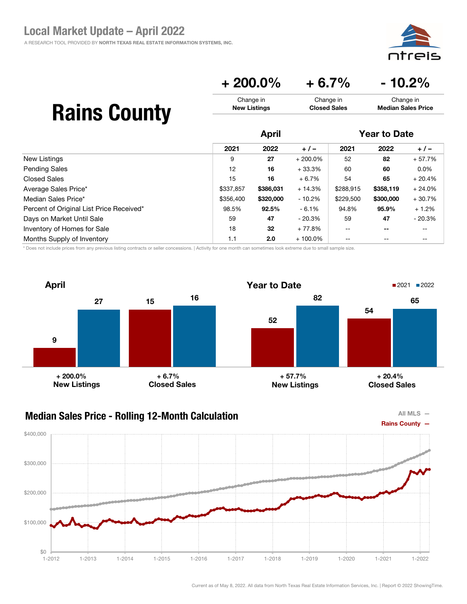![](_page_38_Picture_1.jpeg)

 $+ 200.0\% + 6.7\% - 10.2\%$ 

| <b>Rains County</b> | Change in           | Change in           | Change in                 |
|---------------------|---------------------|---------------------|---------------------------|
|                     | <b>New Listings</b> | <b>Closed Sales</b> | <b>Median Sales Price</b> |
|                     | April               |                     | <b>Year to Date</b>       |

|                                          | 2021      | 2022      | $+/-$      | 2021              | 2022              | $+/-$    |
|------------------------------------------|-----------|-----------|------------|-------------------|-------------------|----------|
| New Listings                             | 9         | 27        | $+200.0\%$ | 52                | 82                | $+57.7%$ |
| <b>Pending Sales</b>                     | 12        | 16        | $+33.3%$   | 60                | 60                | $0.0\%$  |
| Closed Sales                             | 15        | 16        | $+6.7%$    | 54                | 65                | $+20.4%$ |
| Average Sales Price*                     | \$337,857 | \$386,031 | $+14.3%$   | \$288,915         | \$358,119         | $+24.0%$ |
| Median Sales Price*                      | \$356,400 | \$320,000 | $-10.2\%$  | \$229,500         | \$300,000         | $+30.7%$ |
| Percent of Original List Price Received* | 98.5%     | 92.5%     | $-6.1%$    | 94.8%             | 95.9%             | $+1.2%$  |
| Days on Market Until Sale                | 59        | 47        | $-20.3%$   | 59                | 47                | $-20.3%$ |
| Inventory of Homes for Sale              | 18        | 32        | $+77.8%$   | $- -$             | $- -$             | $- -$    |
| Months Supply of Inventory               | 1.1       | 2.0       | $+100.0\%$ | $\qquad \qquad -$ | $\qquad \qquad -$ | --       |

\* Does not include prices from any previous listing contracts or seller concessions. | Activity for one month can sometimes look extreme due to small sample size.

![](_page_38_Figure_7.jpeg)

#### Median Sales Price - Rolling 12-Month Calculation

![](_page_38_Figure_9.jpeg)

![](_page_38_Figure_10.jpeg)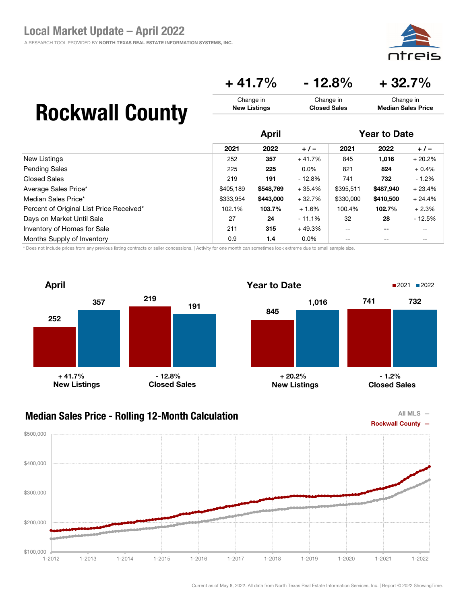![](_page_39_Picture_1.jpeg)

 $+41.7\%$  - 12.8% + 32.7%

Change in Closed Sales

## Rockwall County

|                                          | <b>April</b> |           |           | <b>Year to Date</b> |           |          |
|------------------------------------------|--------------|-----------|-----------|---------------------|-----------|----------|
|                                          | 2021         | 2022      | $+/-$     | 2021                | 2022      | $+/-$    |
| New Listings                             | 252          | 357       | $+41.7%$  | 845                 | 1,016     | $+20.2%$ |
| <b>Pending Sales</b>                     | 225          | 225       | $0.0\%$   | 821                 | 824       | $+0.4%$  |
| Closed Sales                             | 219          | 191       | - 12.8%   | 741                 | 732       | $-1.2%$  |
| Average Sales Price*                     | \$405,189    | \$548,769 | $+35.4%$  | \$395,511           | \$487.940 | $+23.4%$ |
| Median Sales Price*                      | \$333,954    | \$443,000 | $+32.7%$  | \$330,000           | \$410,500 | $+24.4%$ |
| Percent of Original List Price Received* | 102.1%       | 103.7%    | $+1.6%$   | 100.4%              | 102.7%    | $+2.3%$  |
| Days on Market Until Sale                | 27           | 24        | $-11.1\%$ | 32                  | 28        | $-12.5%$ |
| Inventory of Homes for Sale              | 211          | 315       | $+49.3%$  | $- -$               | $- -$     | --       |
| Months Supply of Inventory               | 0.9          | 1.4       | $0.0\%$   | --                  | $- -$     | --       |

Change in New Listings

\* Does not include prices from any previous listing contracts or seller concessions. | Activity for one month can sometimes look extreme due to small sample size.

![](_page_39_Figure_6.jpeg)

![](_page_39_Figure_8.jpeg)

![](_page_39_Figure_9.jpeg)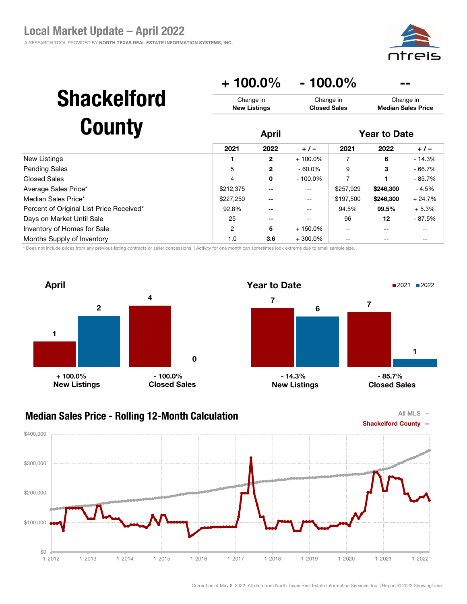![](_page_40_Picture_1.jpeg)

|                                          | $+100.0\%$                       |              | $-100.0\%$                       |                     |                                        |          |
|------------------------------------------|----------------------------------|--------------|----------------------------------|---------------------|----------------------------------------|----------|
| <b>Shackelford</b>                       | Change in<br><b>New Listings</b> |              | Change in<br><b>Closed Sales</b> |                     | Change in<br><b>Median Sales Price</b> |          |
| <b>County</b>                            | <b>April</b>                     |              |                                  | <b>Year to Date</b> |                                        |          |
|                                          | 2021                             | 2022         | $+/-$                            | 2021                | 2022                                   | $+/-$    |
| <b>New Listings</b>                      |                                  | $\mathbf{2}$ | $+100.0\%$                       | 7                   | 6                                      | $-14.3%$ |
| Pending Sales                            | 5                                | $\mathbf{2}$ | $-60.0%$                         | 9                   | 3                                      | $-66.7%$ |
| Closed Sales                             | 4                                | 0            | $-100.0\%$                       | 7                   |                                        | - 85.7%  |
| Average Sales Price*                     | \$212,375                        | --           | --                               | \$257,929           | \$246,300                              | $-4.5%$  |
| Median Sales Price*                      | \$227,250                        |              |                                  | \$197,500           | \$246,300                              | $+24.7%$ |
| Percent of Original List Price Received* | 92.8%                            |              |                                  | 94.5%               | 99.5%                                  | $+5.3%$  |
| Days on Market Until Sale                | 25                               | --           |                                  | 96                  | 12                                     | $-87.5%$ |
| Inventory of Homes for Sale              | $\overline{2}$                   | 5            | $+150.0\%$                       |                     | $- -$                                  |          |
| Months Supply of Inventory               | 1.0                              | 3.6          | $+300.0\%$                       |                     |                                        |          |

\* Does not include prices from any previous listing contracts or seller concessions. | Activity for one month can sometimes look extreme due to small sample size.

![](_page_40_Figure_4.jpeg)

#### Median Sales Price - Rolling 12-Month Calculation

![](_page_40_Figure_6.jpeg)

![](_page_40_Figure_7.jpeg)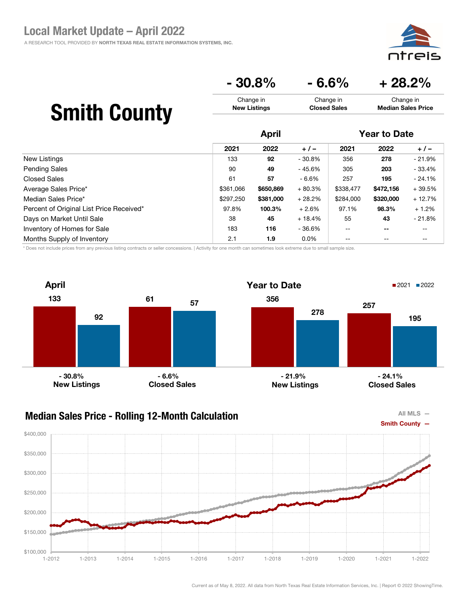$\mathsf{Pic}$ ודר

# $-30.8\%$   $-6.6\%$   $+28.2\%$

#### Smith County Change in New Listings Change in Closed Sales Change in Median Sales Price

|                                          | <b>April</b> |           |          | <b>Year to Date</b> |           |          |
|------------------------------------------|--------------|-----------|----------|---------------------|-----------|----------|
|                                          | 2021         | 2022      | $+/-$    | 2021                | 2022      | $+/-$    |
| New Listings                             | 133          | 92        | $-30.8%$ | 356                 | 278       | $-21.9%$ |
| <b>Pending Sales</b>                     | 90           | 49        | $-45.6%$ | 305                 | 203       | $-33.4%$ |
| <b>Closed Sales</b>                      | 61           | 57        | - 6.6%   | 257                 | 195       | $-24.1%$ |
| Average Sales Price*                     | \$361,066    | \$650,869 | $+80.3%$ | \$338,477           | \$472,156 | $+39.5%$ |
| Median Sales Price*                      | \$297.250    | \$381,000 | $+28.2%$ | \$284,000           | \$320,000 | $+12.7%$ |
| Percent of Original List Price Received* | 97.8%        | 100.3%    | $+2.6%$  | 97.1%               | 98.3%     | $+1.2%$  |
| Days on Market Until Sale                | 38           | 45        | $+18.4%$ | 55                  | 43        | $-21.8%$ |
| Inventory of Homes for Sale              | 183          | 116       | - 36.6%  | $- -$               | $- -$     | --       |
| Months Supply of Inventory               | 2.1          | 1.9       | $0.0\%$  | $- -$               | $- -$     | --       |

\* Does not include prices from any previous listing contracts or seller concessions. | Activity for one month can sometimes look extreme due to small sample size.

![](_page_41_Figure_6.jpeg)

### Median Sales Price - Rolling 12-Month Calculation

![](_page_41_Figure_8.jpeg)

![](_page_41_Figure_9.jpeg)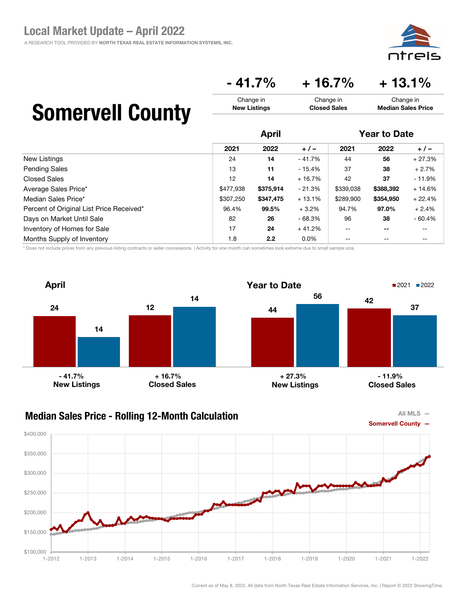![](_page_42_Picture_1.jpeg)

### $-41.7\% + 16.7\% + 13.1\%$

Change in Closed Sales

## Somervell County

|                                          | <b>April</b> |           |          | <b>Year to Date</b> |           |          |
|------------------------------------------|--------------|-----------|----------|---------------------|-----------|----------|
|                                          | 2021         | 2022      | $+/-$    | 2021                | 2022      | $+/-$    |
| New Listings                             | 24           | 14        | $-41.7%$ | 44                  | 56        | $+27.3%$ |
| <b>Pending Sales</b>                     | 13           | 11        | $-15.4%$ | 37                  | 38        | $+2.7%$  |
| Closed Sales                             | 12           | 14        | $+16.7%$ | 42                  | 37        | $-11.9%$ |
| Average Sales Price*                     | \$477,938    | \$375,914 | $-21.3%$ | \$339,038           | \$388,392 | $+14.6%$ |
| Median Sales Price*                      | \$307.250    | \$347,475 | $+13.1%$ | \$289,900           | \$354.950 | $+22.4%$ |
| Percent of Original List Price Received* | 96.4%        | 99.5%     | $+3.2%$  | 94.7%               | 97.0%     | $+2.4%$  |
| Days on Market Until Sale                | 82           | 26        | $-68.3%$ | 96                  | 38        | $-60.4%$ |
| Inventory of Homes for Sale              | 17           | 24        | $+41.2%$ | $-$                 | $- -$     |          |
| Months Supply of Inventory               | 1.8          | 2.2       | $0.0\%$  | --                  | $- -$     | --       |

Change in New Listings

\* Does not include prices from any previous listing contracts or seller concessions. | Activity for one month can sometimes look extreme due to small sample size.

![](_page_42_Figure_6.jpeg)

#### Median Sales Price - Rolling 12-Month Calculation

![](_page_42_Figure_8.jpeg)

![](_page_42_Figure_9.jpeg)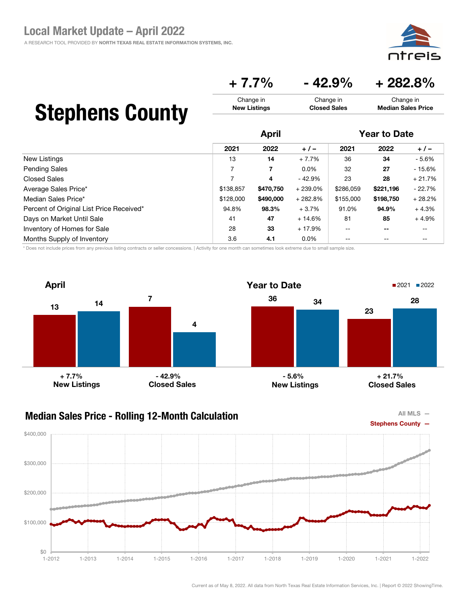### $+ 7.7\%$   $- 42.9\%$   $+ 282.8\%$

#### Stephens County Change in New Listings Change in Closed Sales Change in Median Sales Price

|                                          | <b>April</b> |           |           | <b>Year to Date</b> |           |          |
|------------------------------------------|--------------|-----------|-----------|---------------------|-----------|----------|
|                                          | 2021         | 2022      | $+/-$     | 2021                | 2022      | $+/-$    |
| New Listings                             | 13           | 14        | $+7.7%$   | 36                  | 34        | $-5.6%$  |
| <b>Pending Sales</b>                     |              | 7         | $0.0\%$   | 32                  | 27        | $-15.6%$ |
| <b>Closed Sales</b>                      |              | 4         | $-42.9%$  | 23                  | 28        | $+21.7%$ |
| Average Sales Price*                     | \$138.857    | \$470,750 | $+239.0%$ | \$286,059           | \$221,196 | $-22.7%$ |
| Median Sales Price*                      | \$128,000    | \$490,000 | $+282.8%$ | \$155,000           | \$198,750 | $+28.2%$ |
| Percent of Original List Price Received* | 94.8%        | 98.3%     | $+3.7%$   | 91.0%               | 94.9%     | $+4.3%$  |
| Days on Market Until Sale                | 41           | 47        | $+14.6%$  | 81                  | 85        | $+4.9%$  |
| Inventory of Homes for Sale              | 28           | 33        | $+17.9%$  | $-$                 | $- -$     | --       |
| Months Supply of Inventory               | 3.6          | 4.1       | $0.0\%$   | --                  | $- -$     |          |

\* Does not include prices from any previous listing contracts or seller concessions. | Activity for one month can sometimes look extreme due to small sample size.

![](_page_43_Figure_6.jpeg)

### Median Sales Price - Rolling 12-Month Calculation

![](_page_43_Figure_8.jpeg)

![](_page_43_Figure_9.jpeg)

All MLS —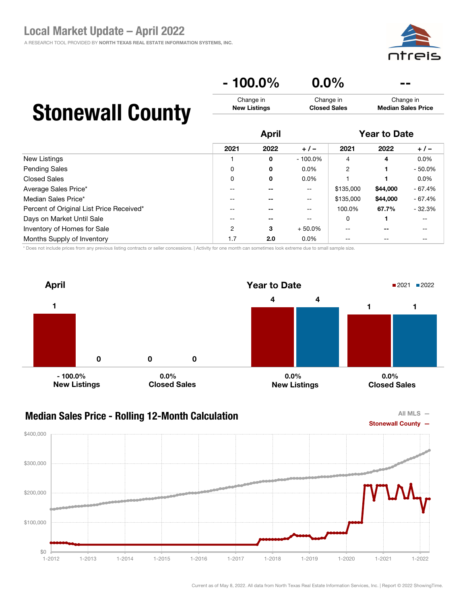#### $-100.0\%$  0.0% Change in New Listings Change in Closed Sales Change in Median Sales Price

# Stonewall County

|                                          | <b>April</b> |      |            | <b>Year to Date</b> |          |           |
|------------------------------------------|--------------|------|------------|---------------------|----------|-----------|
|                                          | 2021         | 2022 | $+/-$      | 2021                | 2022     | $+/-$     |
| New Listings                             |              | 0    | $-100.0\%$ | $\overline{4}$      | 4        | $0.0\%$   |
| <b>Pending Sales</b>                     | 0            | 0    | $0.0\%$    | $\overline{2}$      |          | $-50.0\%$ |
| <b>Closed Sales</b>                      | 0            | 0    | $0.0\%$    |                     |          | $0.0\%$   |
| Average Sales Price*                     |              |      | $- -$      | \$135,000           | \$44,000 | $-67.4%$  |
| Median Sales Price*                      |              |      | --         | \$135,000           | \$44,000 | - 67.4%   |
| Percent of Original List Price Received* | $- -$        |      | $-$        | 100.0%              | 67.7%    | $-32.3%$  |
| Days on Market Until Sale                |              |      | $- -$      | 0                   |          | $- -$     |
| Inventory of Homes for Sale              | 2            | 3    | $+50.0%$   | --                  | $- -$    | --        |
| Months Supply of Inventory               | 1.7          | 2.0  | $0.0\%$    | --                  |          | --        |

\* Does not include prices from any previous listing contracts or seller concessions. | Activity for one month can sometimes look extreme due to small sample size.

![](_page_44_Figure_6.jpeg)

![](_page_44_Figure_8.jpeg)

![](_page_44_Figure_9.jpeg)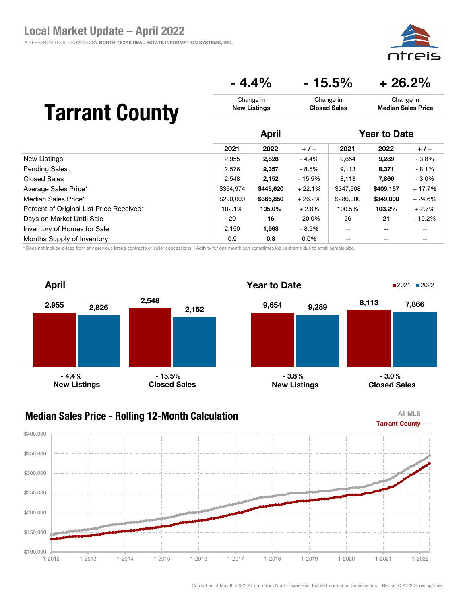![](_page_45_Picture_1.jpeg)

### $-4.4\%$   $-15.5\%$   $+26.2\%$

Change in Closed Sales

## Tarrant County

|                                          | <b>April</b> |           |           | <b>Year to Date</b> |           |          |
|------------------------------------------|--------------|-----------|-----------|---------------------|-----------|----------|
|                                          | 2021         | 2022      | $+/-$     | 2021                | 2022      | $+/-$    |
| New Listings                             | 2,955        | 2,826     | $-4.4%$   | 9,654               | 9,289     | $-3.8%$  |
| <b>Pending Sales</b>                     | 2,576        | 2,357     | - 8.5%    | 9,113               | 8,371     | $-8.1%$  |
| <b>Closed Sales</b>                      | 2,548        | 2,152     | $-15.5%$  | 8,113               | 7,866     | $-3.0\%$ |
| Average Sales Price*                     | \$364.974    | \$445,620 | $+22.1%$  | \$347,508           | \$409.157 | $+17.7%$ |
| Median Sales Price*                      | \$290,000    | \$365,850 | $+26.2%$  | \$280,000           | \$349,000 | $+24.6%$ |
| Percent of Original List Price Received* | 102.1%       | 105.0%    | $+2.8%$   | 100.5%              | 103.2%    | $+2.7%$  |
| Days on Market Until Sale                | 20           | 16        | $-20.0\%$ | 26                  | 21        | $-19.2%$ |
| Inventory of Homes for Sale              | 2.150        | 1,968     | - 8.5%    | $-$                 | $- -$     | $- -$    |
| Months Supply of Inventory               | 0.9          | 0.8       | $0.0\%$   | $\qquad \qquad -$   | $- -$     | $- -$    |

Change in New Listings

\* Does not include prices from any previous listing contracts or seller concessions. | Activity for one month can sometimes look extreme due to small sample size.

![](_page_45_Figure_6.jpeg)

### Median Sales Price - Rolling 12-Month Calculation

![](_page_45_Figure_8.jpeg)

![](_page_45_Figure_9.jpeg)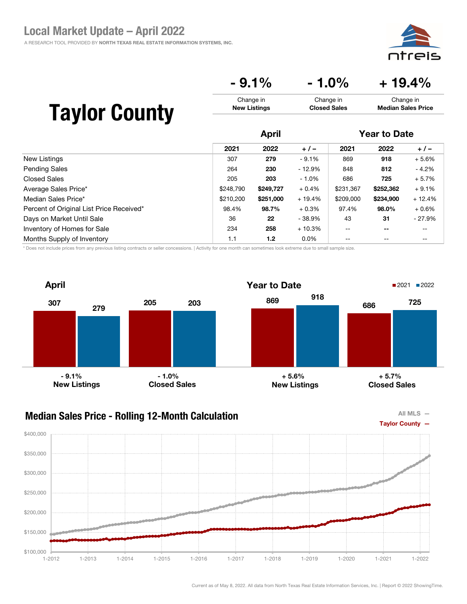**ntreis** 

### $-9.1\%$   $-1.0\%$   $+19.4\%$

| <b>Taylor County</b> | Change in           | Change in           | Change in                 |
|----------------------|---------------------|---------------------|---------------------------|
|                      | <b>New Listings</b> | <b>Closed Sales</b> | <b>Median Sales Price</b> |
|                      | April               |                     | <b>Year to Date</b>       |

|                                          | .         |                  |          |                   |           |          |
|------------------------------------------|-----------|------------------|----------|-------------------|-----------|----------|
|                                          | 2021      | 2022             | $+/-$    | 2021              | 2022      | $+/-$    |
| New Listings                             | 307       | 279              | $-9.1%$  | 869               | 918       | $+5.6%$  |
| <b>Pending Sales</b>                     | 264       | 230              | $-12.9%$ | 848               | 812       | $-4.2\%$ |
| <b>Closed Sales</b>                      | 205       | 203              | $-1.0\%$ | 686               | 725       | $+5.7%$  |
| Average Sales Price*                     | \$248,790 | \$249,727        | $+0.4%$  | \$231,367         | \$252,362 | $+9.1%$  |
| Median Sales Price*                      | \$210,200 | \$251,000        | $+19.4%$ | \$209,000         | \$234,900 | $+12.4%$ |
| Percent of Original List Price Received* | 98.4%     | 98.7%            | $+0.3%$  | 97.4%             | 98.0%     | $+0.6%$  |
| Days on Market Until Sale                | 36        | 22               | $-38.9%$ | 43                | 31        | $-27.9%$ |
| Inventory of Homes for Sale              | 234       | 258              | $+10.3%$ | $- -$             | $- -$     | $- -$    |
| Months Supply of Inventory               | 1.1       | 1.2 <sub>2</sub> | $0.0\%$  | $\qquad \qquad -$ | $- -$     | --       |

\* Does not include prices from any previous listing contracts or seller concessions. | Activity for one month can sometimes look extreme due to small sample size.

![](_page_46_Figure_6.jpeg)

#### Median Sales Price - Rolling 12-Month Calculation

![](_page_46_Figure_8.jpeg)

![](_page_46_Figure_9.jpeg)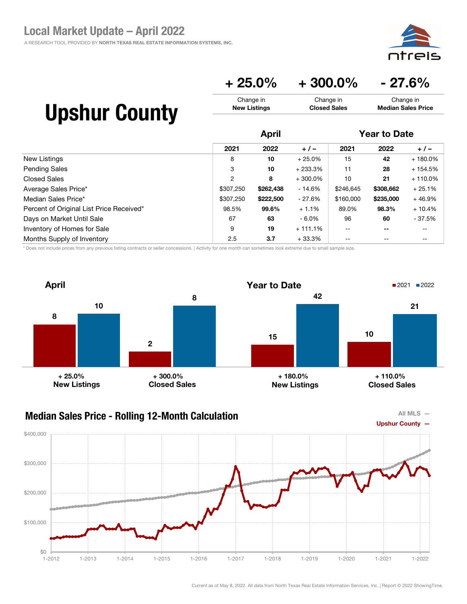![](_page_47_Picture_1.jpeg)

### $+ 25.0\% + 300.0\% - 27.6\%$

Change in Closed Sales

# Upshur County

|                                          | <b>April</b> |           |            | <b>Year to Date</b> |           |            |
|------------------------------------------|--------------|-----------|------------|---------------------|-----------|------------|
|                                          | 2021         | 2022      | $+/-$      | 2021                | 2022      | $+/-$      |
| New Listings                             | 8            | 10        | $+25.0%$   | 15                  | 42        | $+180.0%$  |
| <b>Pending Sales</b>                     | 3            | 10        | $+233.3%$  | 11                  | 28        | $+154.5%$  |
| <b>Closed Sales</b>                      | 2            | 8         | $+300.0\%$ | 10                  | 21        | $+110.0\%$ |
| Average Sales Price*                     | \$307,250    | \$262,438 | $-14.6%$   | \$246,645           | \$308,662 | $+25.1%$   |
| Median Sales Price*                      | \$307,250    | \$222,500 | - 27.6%    | \$160,000           | \$235,000 | $+46.9%$   |
| Percent of Original List Price Received* | 98.5%        | 99.6%     | $+1.1%$    | 89.0%               | 98.3%     | $+10.4%$   |
| Days on Market Until Sale                | 67           | 63        | $-6.0\%$   | 96                  | 60        | - 37.5%    |
| Inventory of Homes for Sale              | 9            | 19        | $+111.1%$  | $- -$               | --        | --         |
| Months Supply of Inventory               | 2.5          | 3.7       | $+33.3%$   | --                  |           | $- -$      |

Change in New Listings

\* Does not include prices from any previous listing contracts or seller concessions. | Activity for one month can sometimes look extreme due to small sample size.

![](_page_47_Figure_6.jpeg)

![](_page_47_Figure_8.jpeg)

![](_page_47_Figure_9.jpeg)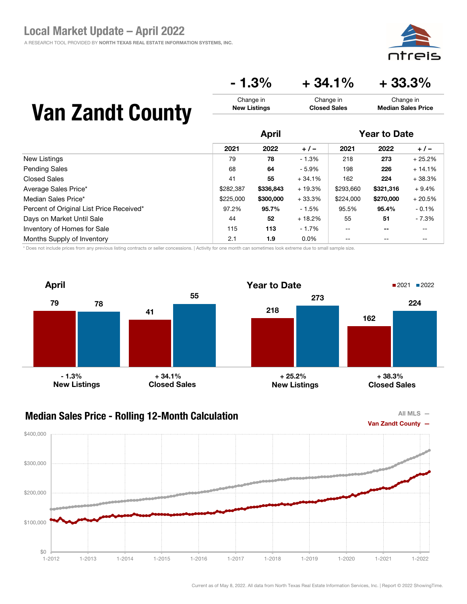aic

Change in Median Sales Price

## $-1.3\% + 34.1\% + 33.3\%$

Change in Closed Sales

# Van Zandt County

|                                          | <b>April</b> |           |          | <b>Year to Date</b> |                          |          |
|------------------------------------------|--------------|-----------|----------|---------------------|--------------------------|----------|
|                                          | 2021         | 2022      | $+/-$    | 2021                | 2022                     | $+/-$    |
| New Listings                             | 79           | 78        | $-1.3%$  | 218                 | 273                      | $+25.2%$ |
| <b>Pending Sales</b>                     | 68           | 64        | $-5.9%$  | 198                 | 226                      | $+14.1%$ |
| <b>Closed Sales</b>                      | 41           | 55        | $+34.1%$ | 162                 | 224                      | $+38.3%$ |
| Average Sales Price*                     | \$282,387    | \$336,843 | $+19.3%$ | \$293,660           | \$321,316                | $+9.4%$  |
| Median Sales Price*                      | \$225,000    | \$300,000 | $+33.3%$ | \$224,000           | \$270,000                | $+20.5%$ |
| Percent of Original List Price Received* | 97.2%        | 95.7%     | $-1.5%$  | 95.5%               | 95.4%                    | $-0.1%$  |
| Days on Market Until Sale                | 44           | 52        | $+18.2%$ | 55                  | 51                       | $-7.3%$  |
| Inventory of Homes for Sale              | 115          | 113       | - 1.7%   | $- -$               | $\overline{\phantom{m}}$ | --       |
| Months Supply of Inventory               | 2.1          | 1.9       | $0.0\%$  | --                  | $- -$                    | --       |

Change in New Listings

\* Does not include prices from any previous listing contracts or seller concessions. | Activity for one month can sometimes look extreme due to small sample size.

![](_page_48_Figure_6.jpeg)

![](_page_48_Figure_8.jpeg)

![](_page_48_Figure_9.jpeg)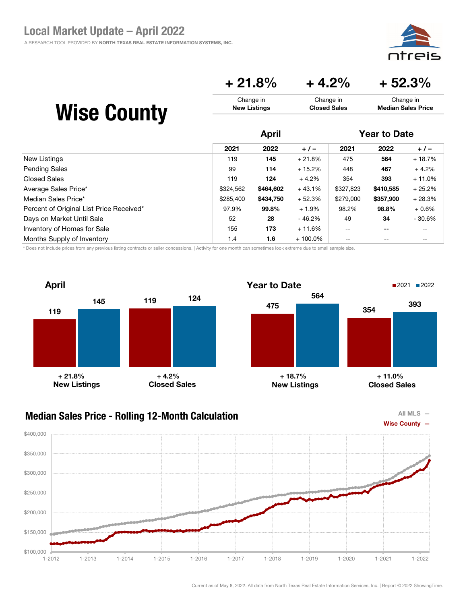eis<sup>.</sup> ח†ר

### $+ 21.8\% + 4.2\% + 52.3\%$

| <b>Wise County</b> | Change in           | Change in           | Change in                 |
|--------------------|---------------------|---------------------|---------------------------|
|                    | <b>New Listings</b> | <b>Closed Sales</b> | <b>Median Sales Price</b> |
|                    |                     |                     |                           |

|                                          | <b>April</b> |           |            | <b>Year to Date</b> |                          |          |
|------------------------------------------|--------------|-----------|------------|---------------------|--------------------------|----------|
|                                          | 2021         | 2022      | $+/-$      | 2021                | 2022                     | $+/-$    |
| New Listings                             | 119          | 145       | $+21.8%$   | 475                 | 564                      | $+18.7%$ |
| <b>Pending Sales</b>                     | 99           | 114       | $+15.2%$   | 448                 | 467                      | $+4.2%$  |
| Closed Sales                             | 119          | 124       | $+4.2%$    | 354                 | 393                      | $+11.0%$ |
| Average Sales Price*                     | \$324.562    | \$464,602 | $+43.1%$   | \$327,823           | \$410,585                | $+25.2%$ |
| Median Sales Price*                      | \$285.400    | \$434,750 | $+52.3%$   | \$279,000           | \$357,900                | $+28.3%$ |
| Percent of Original List Price Received* | 97.9%        | 99.8%     | $+1.9%$    | 98.2%               | 98.8%                    | $+0.6%$  |
| Days on Market Until Sale                | 52           | 28        | - 46.2%    | 49                  | 34                       | $-30.6%$ |
| Inventory of Homes for Sale              | 155          | 173       | $+11.6%$   | $- -$               | $\overline{\phantom{m}}$ | --       |
| Months Supply of Inventory               | 1.4          | 1.6       | $+100.0\%$ | --                  | --                       | --       |

\* Does not include prices from any previous listing contracts or seller concessions. | Activity for one month can sometimes look extreme due to small sample size.

![](_page_49_Figure_6.jpeg)

![](_page_49_Figure_8.jpeg)

![](_page_49_Figure_9.jpeg)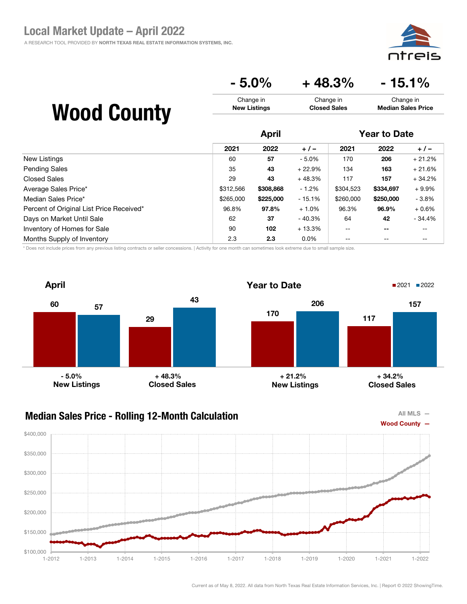aic

Change in Median Sales Price

## $-5.0\%$   $+48.3\%$   $-15.1\%$

Change in Closed Sales

# Wood County

|                                          | <b>April</b> |           |          | <b>Year to Date</b> |                          |          |
|------------------------------------------|--------------|-----------|----------|---------------------|--------------------------|----------|
|                                          | 2021         | 2022      | $+/-$    | 2021                | 2022                     | $+/-$    |
| New Listings                             | 60           | 57        | $-5.0%$  | 170                 | 206                      | $+21.2%$ |
| <b>Pending Sales</b>                     | 35           | 43        | $+22.9%$ | 134                 | 163                      | $+21.6%$ |
| Closed Sales                             | 29           | 43        | $+48.3%$ | 117                 | 157                      | $+34.2%$ |
| Average Sales Price*                     | \$312,566    | \$308,868 | $-1.2%$  | \$304,523           | \$334,697                | $+9.9%$  |
| Median Sales Price*                      | \$265,000    | \$225,000 | $-15.1%$ | \$260,000           | \$250,000                | $-3.8%$  |
| Percent of Original List Price Received* | 96.8%        | 97.8%     | $+1.0%$  | 96.3%               | 96.9%                    | $+0.6%$  |
| Days on Market Until Sale                | 62           | 37        | - 40.3%  | 64                  | 42                       | $-34.4%$ |
| Inventory of Homes for Sale              | 90           | 102       | $+13.3%$ | $- -$               | $\overline{\phantom{m}}$ | --       |
| Months Supply of Inventory               | 2.3          | 2.3       | $0.0\%$  | --                  | $- -$                    | --       |

Change in New Listings

\* Does not include prices from any previous listing contracts or seller concessions. | Activity for one month can sometimes look extreme due to small sample size.

![](_page_50_Figure_6.jpeg)

### Median Sales Price - Rolling 12-Month Calculation

![](_page_50_Figure_8.jpeg)

![](_page_50_Figure_9.jpeg)